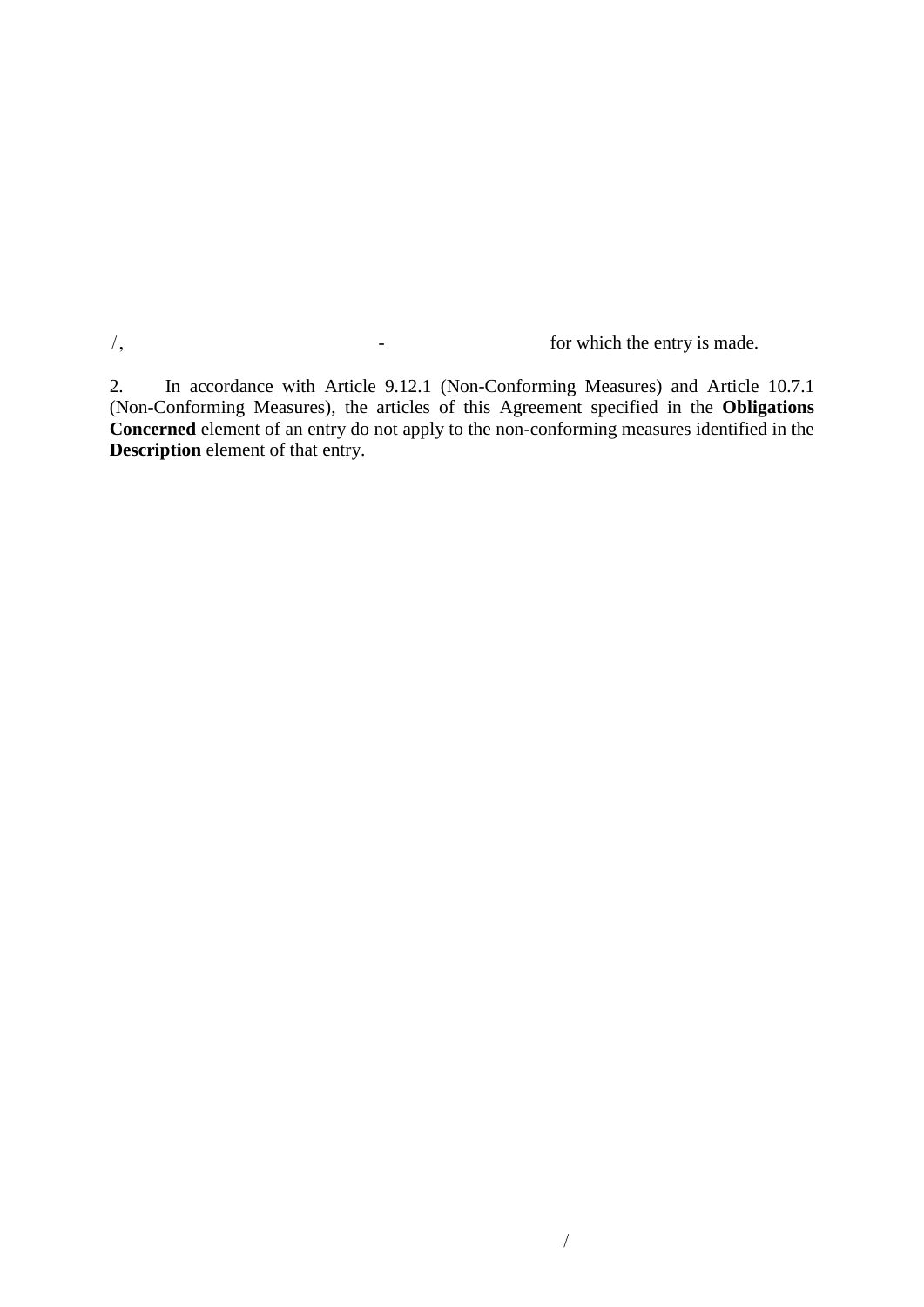1. **Description** sets out the non-conforming measures for which the entry is made.

2. In accordance with Article 9.12.1 (Non-Conforming Measures) and Article 10.7.1 (Non-Conforming Measures), the articles of this Agreement specified in the **Obligations Concerned** element of an entry do not apply to the non-conforming measures identified in the **Description** element of that entry.

 $\overline{\phantom{a}}$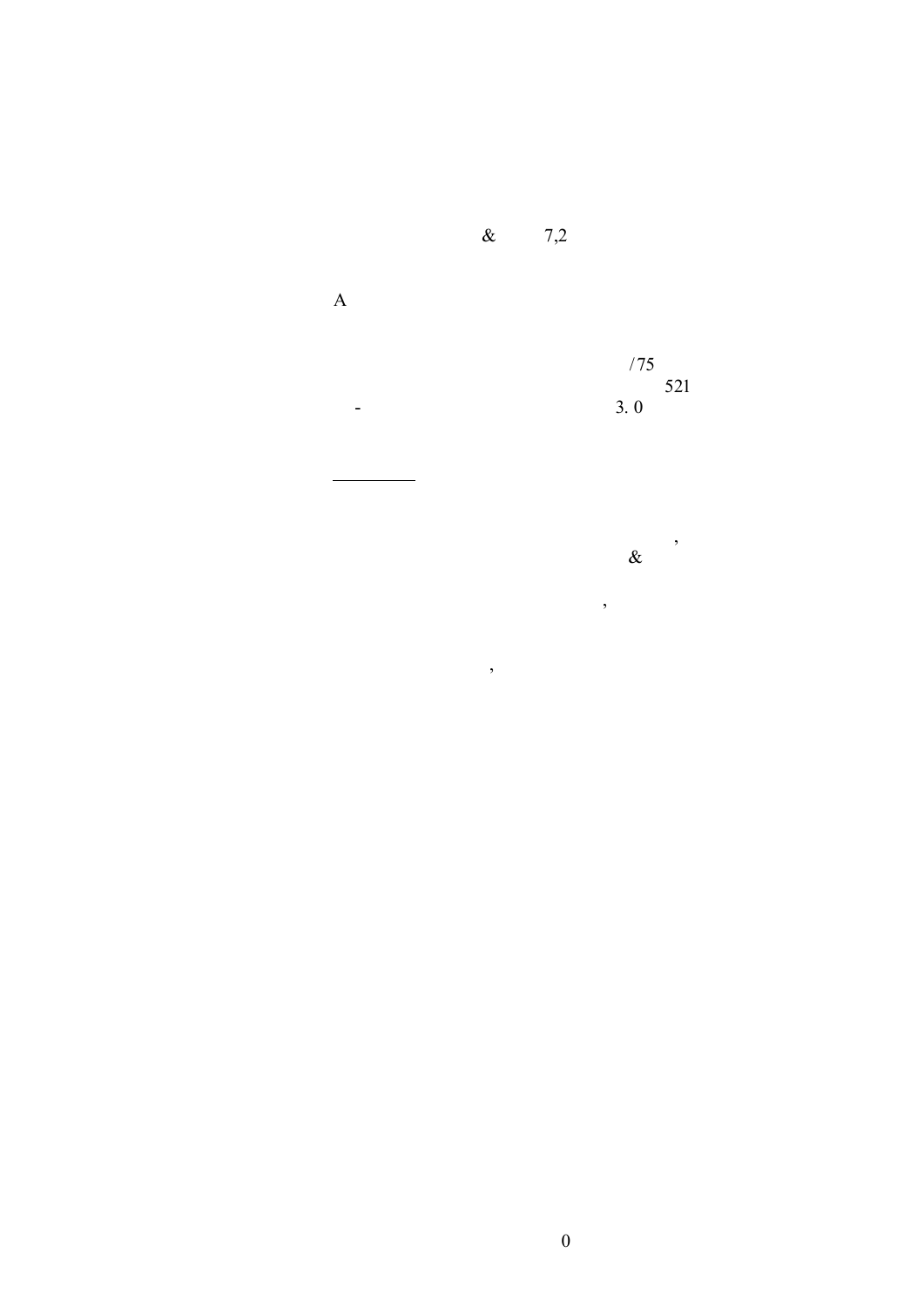## **Obligations Concerned:** National Treatment (Article 9.4)

**Level of Government:** Central

**Description:** Investment

*Registration of Business Act 1956* / 75 *Limited Liability Partnership Act 2012* 521 *Co-operative Societies Act 1993* 3.0

of Malaysia that resides in Malaysia.

societies in Malaysia.

 $\&$ 

 $\mathcal{S}$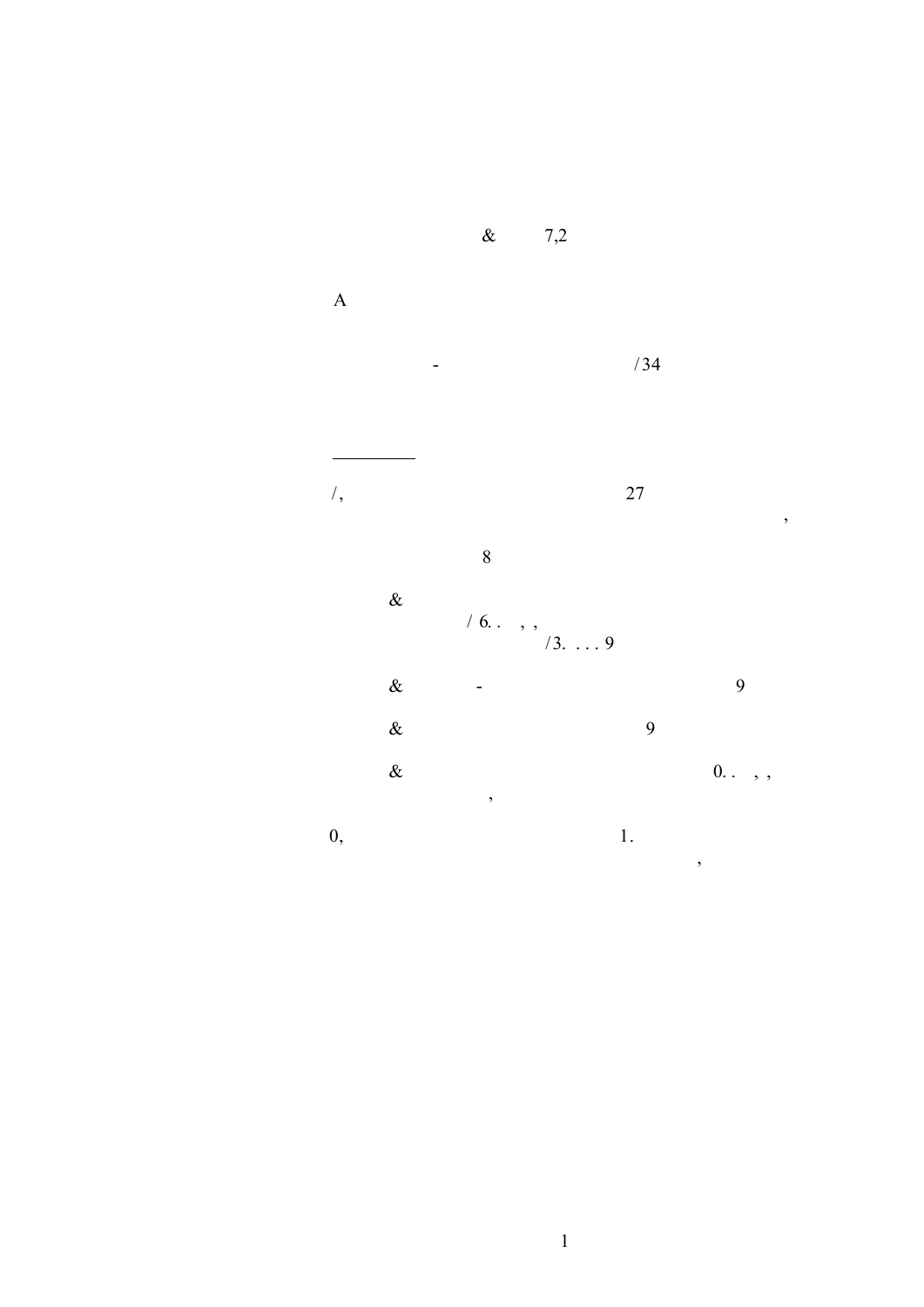

**Le h**: Central **h**: Central **h**: Central **h**: Central **h**: Central **h:** Central **h:** Central **h:** Central **h:** Central Solution (C) and C) and C) and C) and C) and C) and C) and C) and C) and C) and C) and C) and C) and

*Industrial Co-ordination Act 1975* / 34



 $\overline{a}$  Malaysia 33  $\overline{a}$  33  $\overline{a}$  33  $\overline{a}$  33  $\overline{a}$  33  $\overline{a}$  33  $\overline{a}$  33  $\overline{a}$  33  $\overline{a}$  33  $\overline{a}$  33  $\overline{a}$  33  $\overline{a}$  33  $\overline{a}$  33  $\overline{a}$  33  $\overline{a}$  33  $\overline{a}$  33  $\overline{a}$  33  $\overline{a}$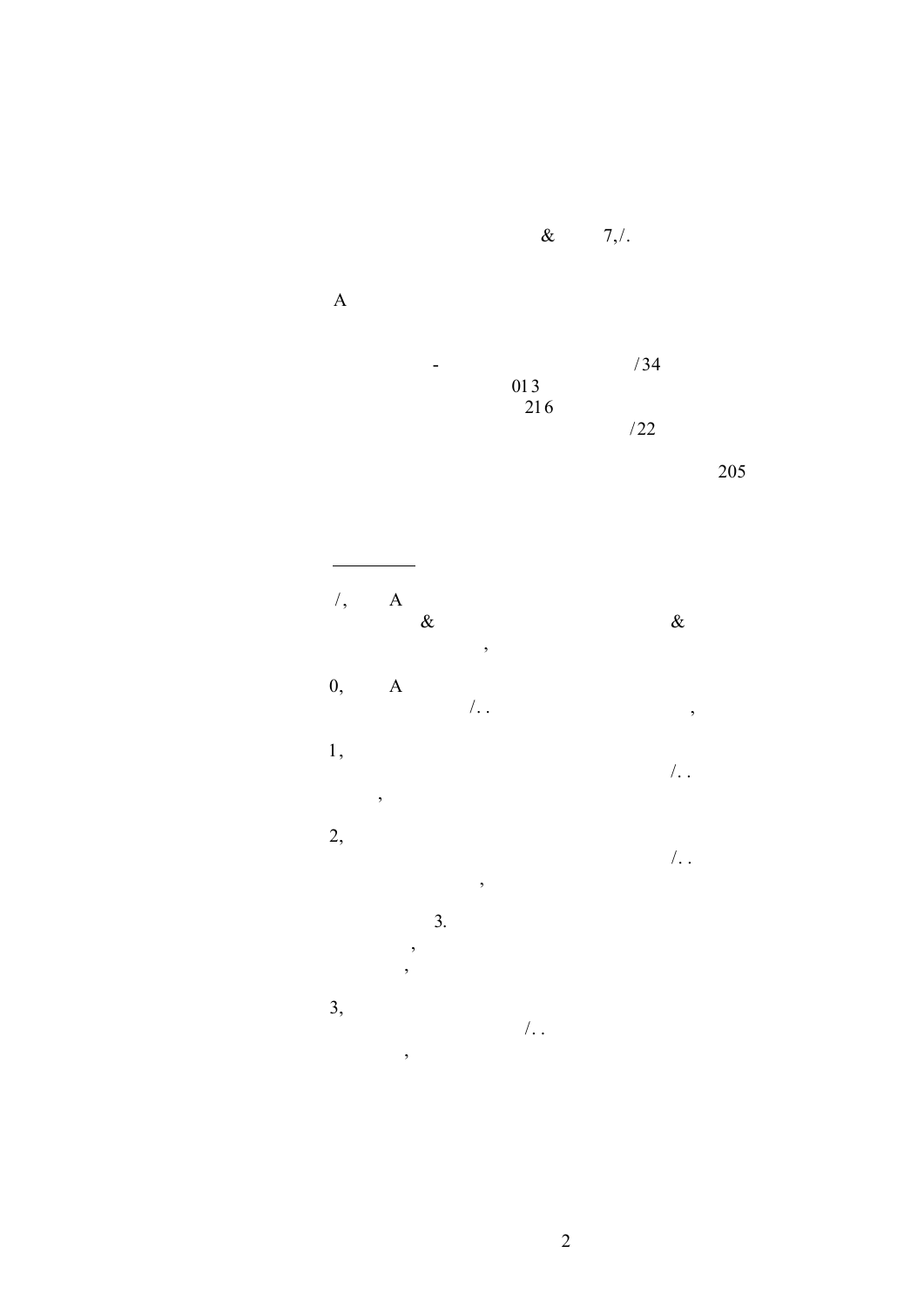$\&$  7,/.

**Le t:** Central and Regional

*Industrial Co-ordination Act 1975* / 34 *Customs Act 1967* 013<br>*Free Zone Act 1990* 216 *Free* Zone *Act* 1990 *Petroleum Development Act 1974* / 22 *Pineapple Industry (Cannery Control) Regulations 1959 Pineapple Industrial Act 1957 (Revised 1990)* 205



 $\sim$  2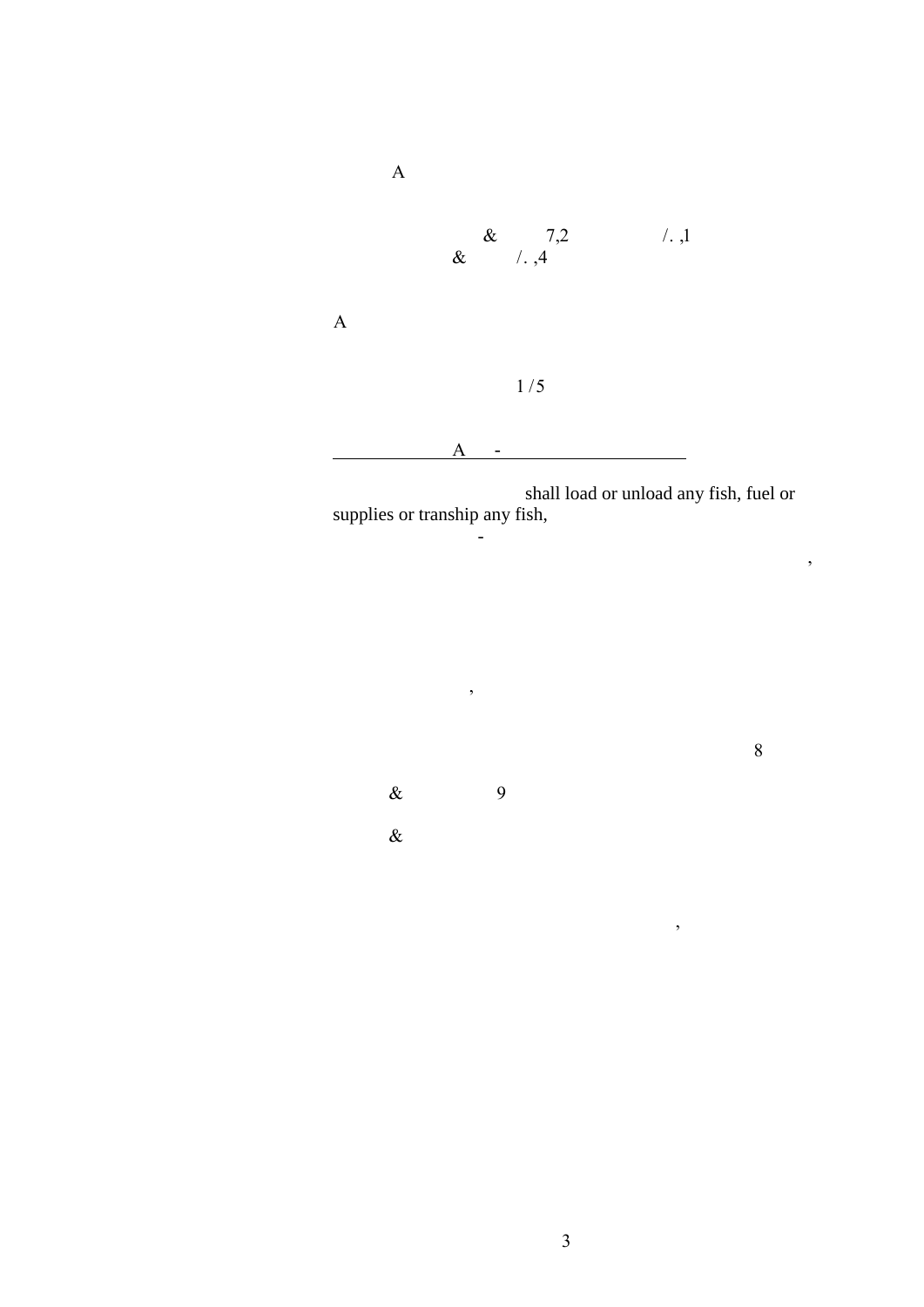

 $\mathcal{L}$ 



 $\&$  9

 $\&$ 

 $\overline{\phantom{a}}$ 

supply or transportation of  $\overline{\phantom{a}}$ .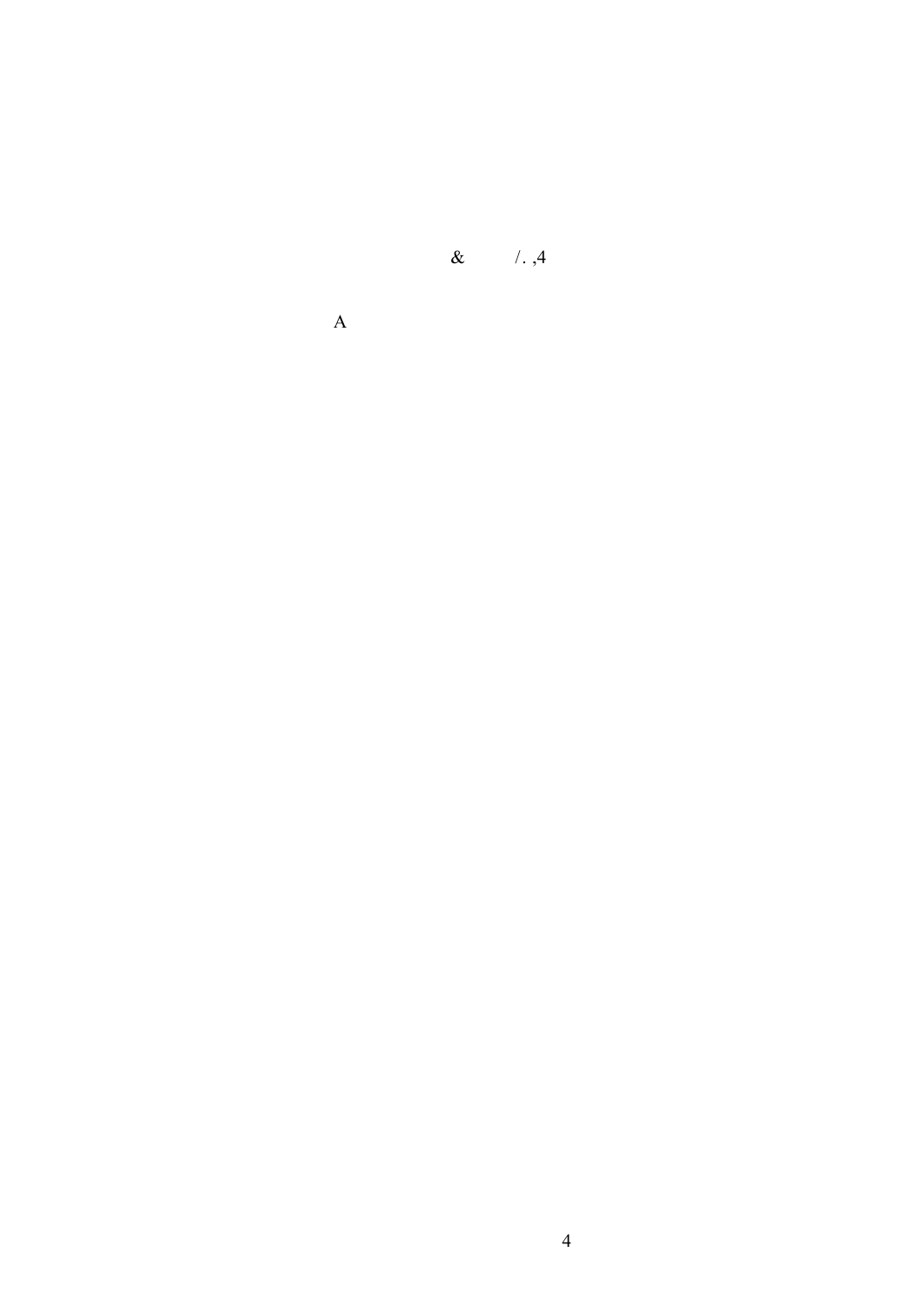**&** /.4

**Level of Government:** Central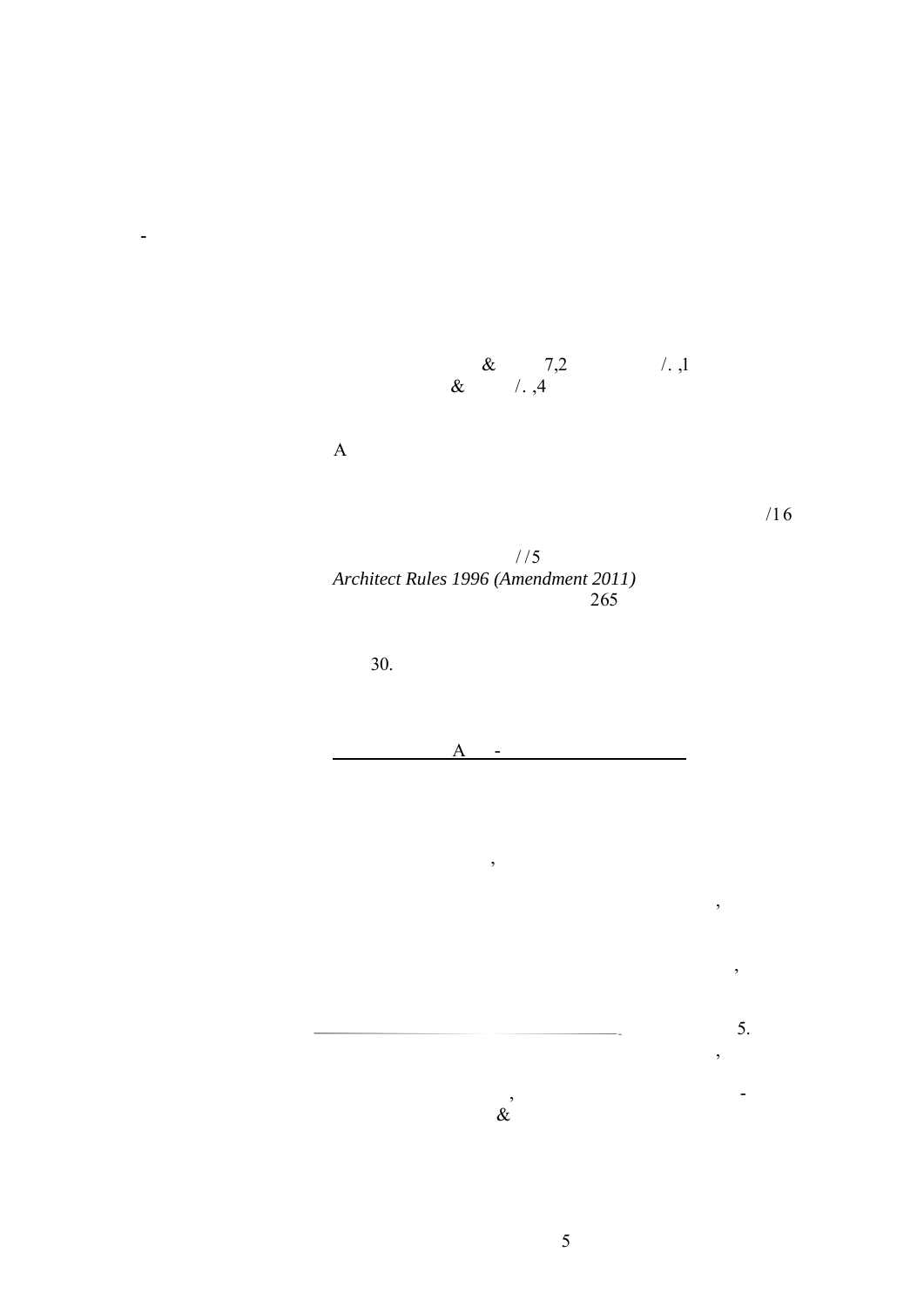$\&\qquad 7.2$  /.,1  $\&\quad$  / . ,4

**Level of Government:** Central and Regional

**Sub-Sector:** Engineering services

*Registration of Engineers Act 1967 (amended 2007)* /16 *Registration of Engineers Regulations 1990 (amended 2003) Architect Act 1967 Architect Rules 1996 (Amendment 2011) Quantity Surveyors Act 1967* 265 *Quantity Surveyors (Amendment) Rules 2004 Lembaga Pembangunan Industri Pembinaan Malaysia Act 1994*  $30.$ 

**Description:** In <u>Investment and Cross-Border Trade in Service</u>s

 $\mathbf{f}_{\mathbf{f}}$ 

authenticated by a registered professional in Malaysia.

 $r$  $\&$ 

 $s = 5$ .  $\overline{\phantom{a}}$ 

 $\overline{\phantom{a}}$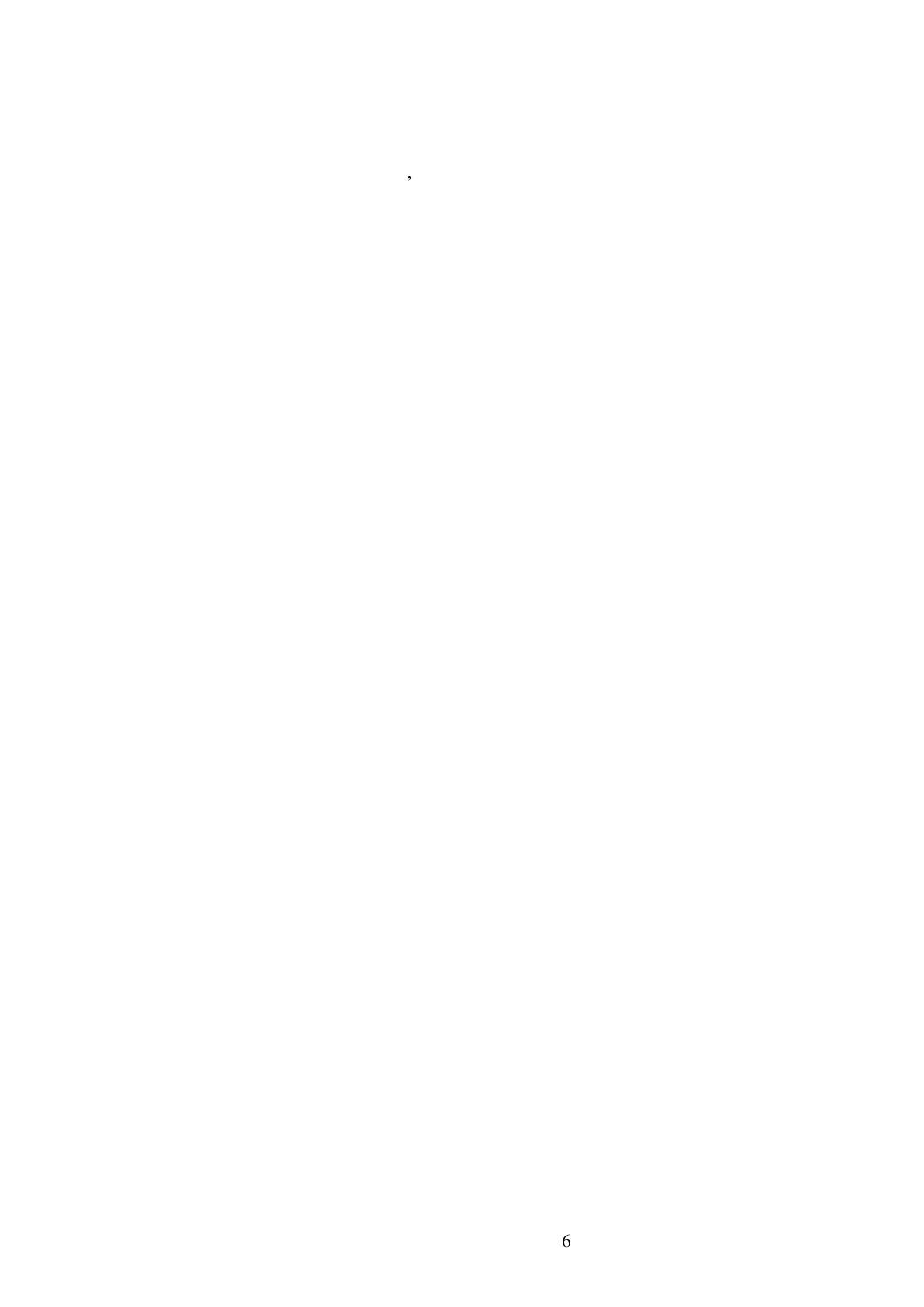$\sim$  88  $\sim$  88  $\sim$  88  $\sim$  88  $\sim$  88  $\sim$ 

certificate.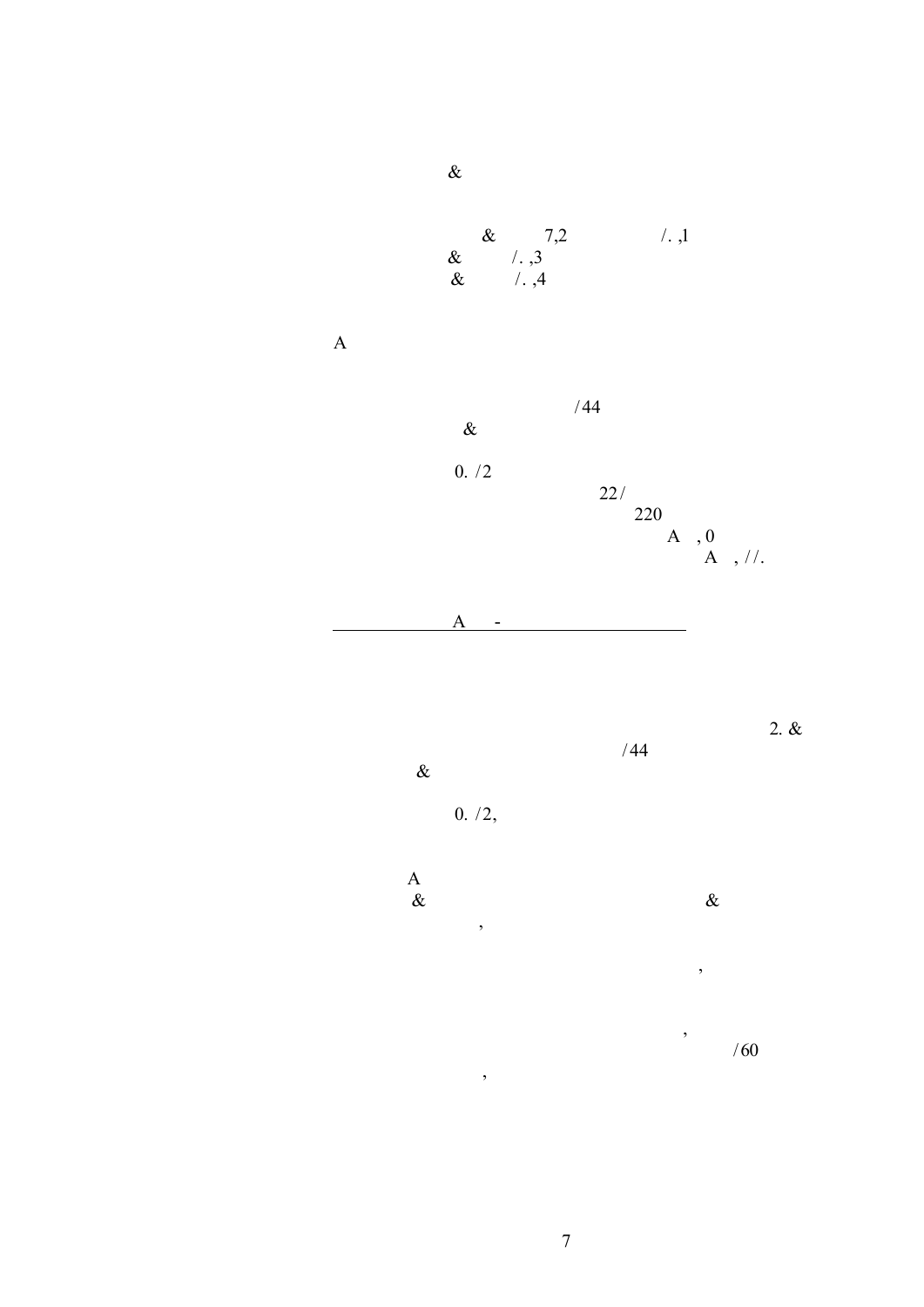**Obligations Concerned:** National Treatment (Article 9.4 and Article 10.3) Market Access (Article 10.5) Local Presence (Article 10.6)

**Level of Government:** Central and Regional

 $\&$ 

## *Legal Profession Act 1976* / 44  $\&$

 $0. /2$ 

| <b>Offshore Companies Act 1990</b><br>22/  |     |           |             |
|--------------------------------------------|-----|-----------|-------------|
| Labuan Trust Companies Act 1990            | 220 |           |             |
| <b>Advocates Ordinance of Sabah 1953</b>   |     | $A \t, 0$ |             |
| <b>Advocates Ordinance of Sarawak 1953</b> |     |           | $A$ , $/$ . |

$$
\begin{array}{c}\n \overbrace{\qquad \qquad }^{A} & \overbrace{\qquad \qquad }^{B} & \overbrace{\qquad \qquad }^{B} & \overbrace{\qquad \qquad }^{C} & \overbrace{\qquad \qquad }^{C} & \overbrace{\qquad \qquad }^{C} & \overbrace{\qquad \qquad }^{C} & \overbrace{\qquad \qquad }^{C} & \overbrace{\qquad \qquad }^{C} & \overbrace{\qquad \qquad }^{C} & \overbrace{\qquad \qquad }^{C} & \overbrace{\qquad \qquad }^{C} & \overbrace{\qquad \qquad }^{C} & \overbrace{\qquad \qquad }^{C} & \overbrace{\qquad \qquad }^{C} & \overbrace{\qquad \qquad }^{C} & \overbrace{\qquad \qquad }^{C} & \overbrace{\qquad \qquad }^{C} & \overbrace{\qquad \qquad }^{C} & \overbrace{\qquad \qquad }^{C} & \overbrace{\qquad \qquad }^{C} & \overbrace{\qquad \qquad }^{C} & \overbrace{\qquad \qquad }^{C} & \overbrace{\qquad \qquad }^{C} & \overbrace{\qquad \qquad }^{C} & \overbrace{\qquad \qquad }^{C} & \overbrace{\qquad \qquad }^{C} & \overbrace{\qquad \qquad }^{C} & \overbrace{\qquad \qquad }^{C} & \overbrace{\qquad \qquad }^{C} & \overbrace{\qquad \qquad }^{C} & \overbrace{\qquad \qquad }^{C} & \overbrace{\qquad \qquad }^{C} & \overbrace{\qquad \qquad }^{C} & \overbrace{\qquad \qquad }^{C} & \overbrace{\qquad \qquad }^{C} & \overbrace{\qquad \qquad }^{C} & \overbrace{\qquad \qquad }^{C} & \overbrace{\qquad \qquad }^{C} & \overbrace{\qquad \qquad }^{C} & \overbrace{\qquad \qquad }^{C} & \overbrace{\qquad \qquad }^{C} & \overbrace{\qquad \qquad }^{C} & \overbrace{\qquad \qquad }^{C} & \overbrace{\qquad \qquad }^{C} & \overbrace{\qquad \qquad }^{C} & \overbrace{\qquad \qquad }^{C} & \overbrace{\qquad \qquad }^{C} & \overbrace{\qquad \qquad }^{C} & \overbrace{\qquad \qquad }^{C} & \overbrace{\qquad \qquad }^{C} & \overbrace{\qquad \qquad }^{C} & \overbrace{\qquad \qquad }^{C} & \overbrace{\qquad \qquad }
$$

**provided**  $\alpha$  save as  $\alpha$ Legal Profession Act 1976  $\overline{\phantom{a}}$  /44  $\&$ 

proven expertise in International Islamic Finance.

 $0. /2,$ 

 $\mathbf A$ 

in any calendar year.

 $\&$  or an International  $\&$ 

 $\sqrt{60}$ 



 $\overline{\phantom{a}}$ 

where in a  $\mathcal{L}_{\mathcal{F}}$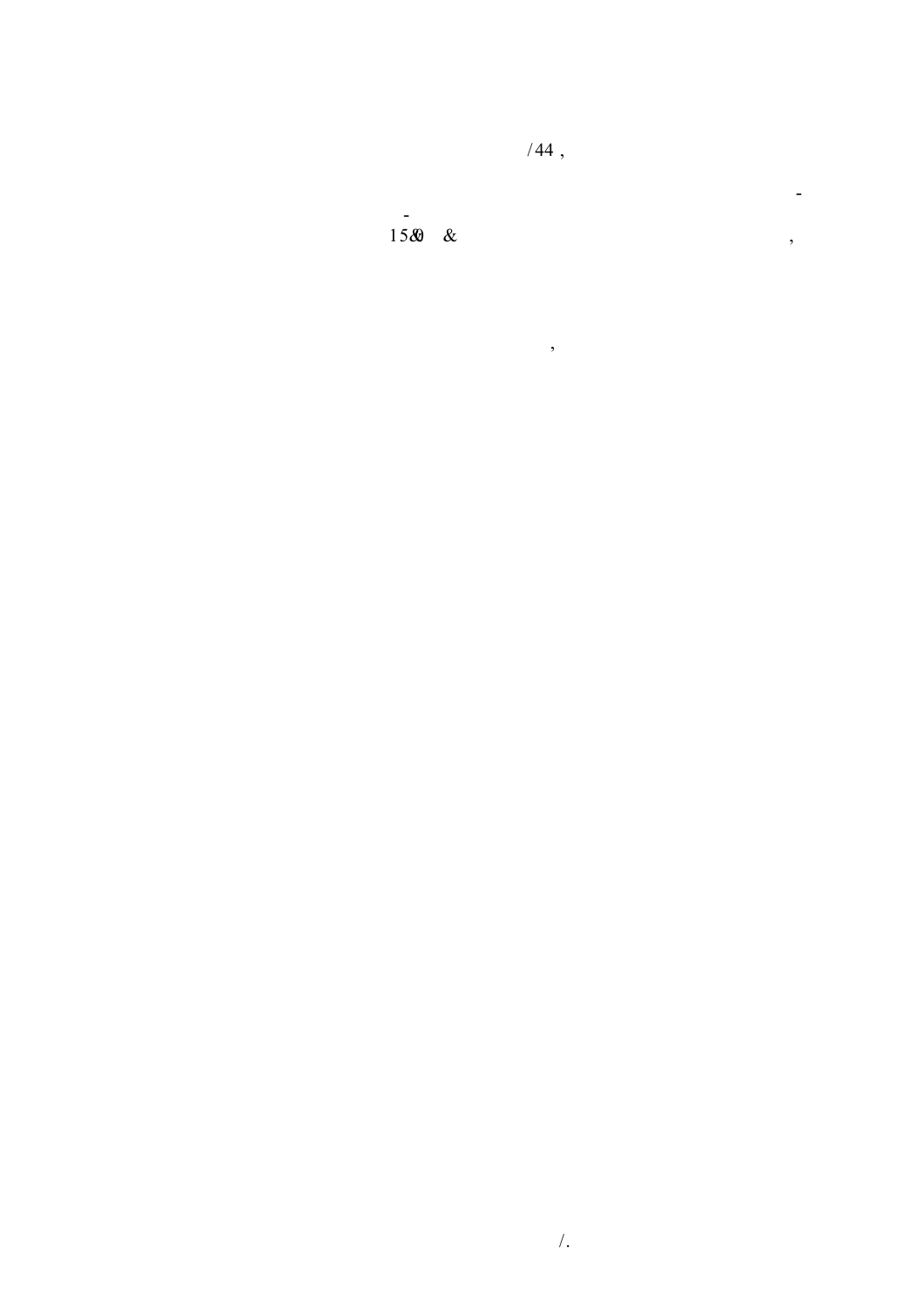*Profession Act 1976* / 44,

practice in Sabah or Sarawak.

Foreign lawyers providing legal services in Malaysia on a "*flyin and fly-out*<br> $15\omega \&$ section 37(2B)(b) of the *Legal Profession Act 1976 Act 166*].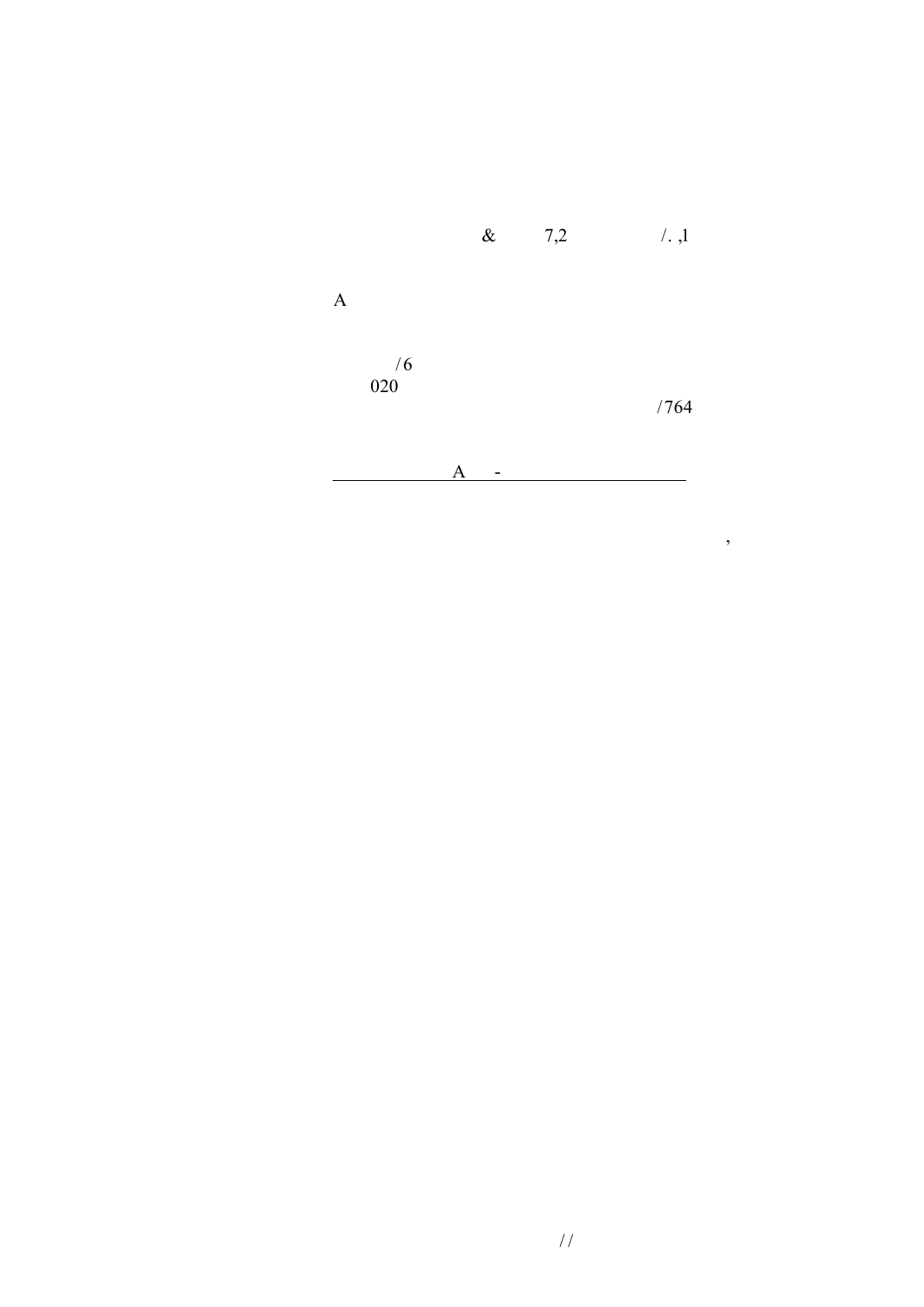|   |           | $\&$ | 7,2 | $/$ .,1                                      |
|---|-----------|------|-----|----------------------------------------------|
| A |           |      |     |                                              |
|   | /6<br>020 |      |     | Valuers, Appraisers & Estate Agents Act 1981 |
|   |           |      |     | /764                                         |
|   |           | A    |     |                                              |

 $\overline{\phantom{a}}$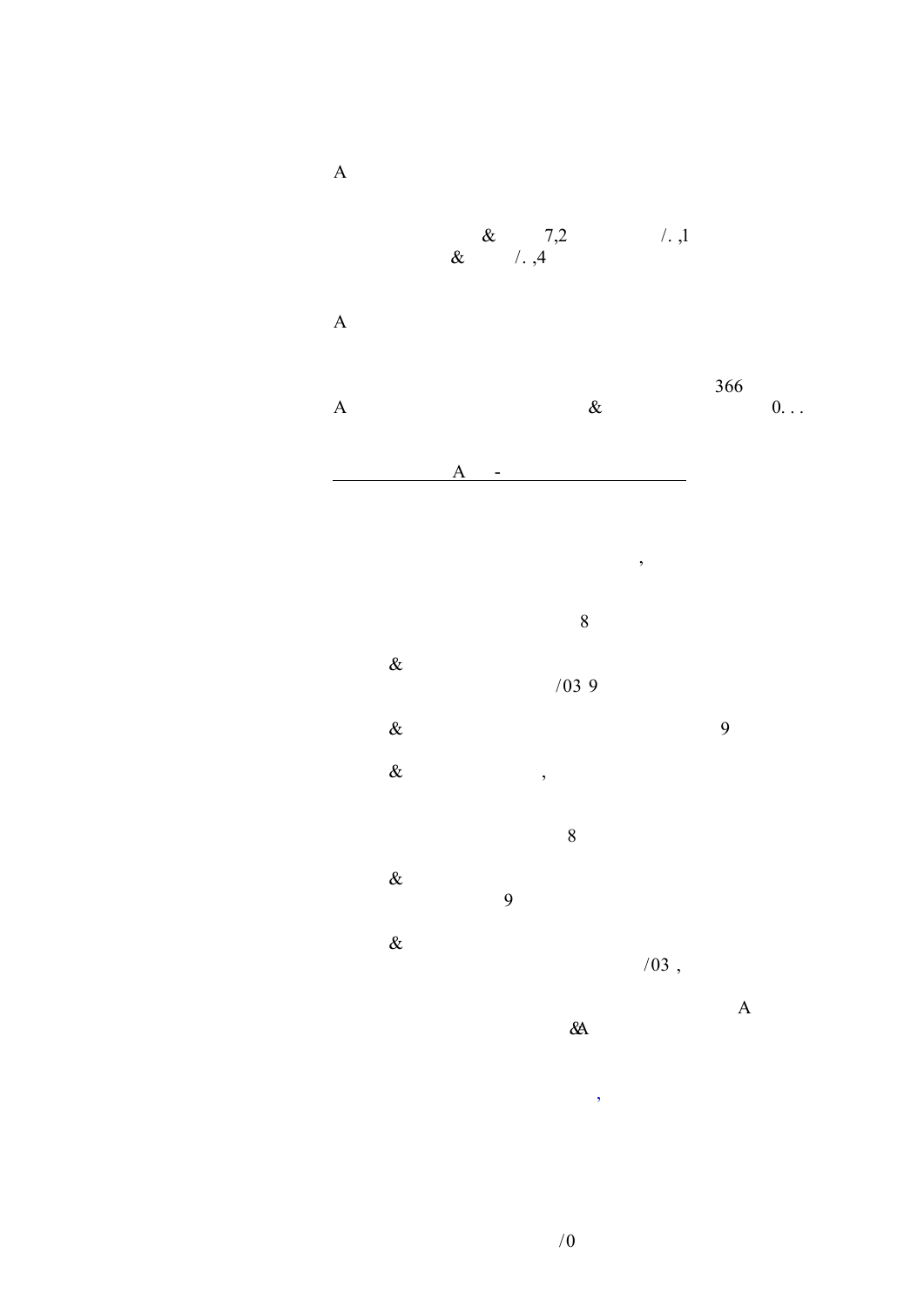|             | $\&$                                      | & $7,2$           | $\sqrt{3}$ . |             |
|-------------|-------------------------------------------|-------------------|--------------|-------------|
| $\mathbf A$ |                                           |                   |              |             |
| $\mathbf A$ | Communications and Multimedia Act of 1998 | $\&$              |              | 366<br>$0.$ |
|             | $\mathbf{A}$<br>$\overline{\phantom{a}}$  |                   |              |             |
|             |                                           |                   |              |             |
|             |                                           |                   | $\,$         |             |
| $\&$        | Act 1965                                  | $\,8\,$<br>/039   |              | Companies   |
| $\&$        |                                           |                   |              | 9           |
| $\&$        |                                           | $\,$              |              |             |
|             |                                           | $\,8\,$           |              |             |
| $\&$        | 9                                         |                   |              |             |
| $\&$        | Companies Act 1965                        |                   | $/03$ ,      |             |
|             |                                           | $\&\!\!\!\!\!\!A$ |              | $\mathbf A$ |
|             |                                           |                   |              |             |

**Sector:** Communications Services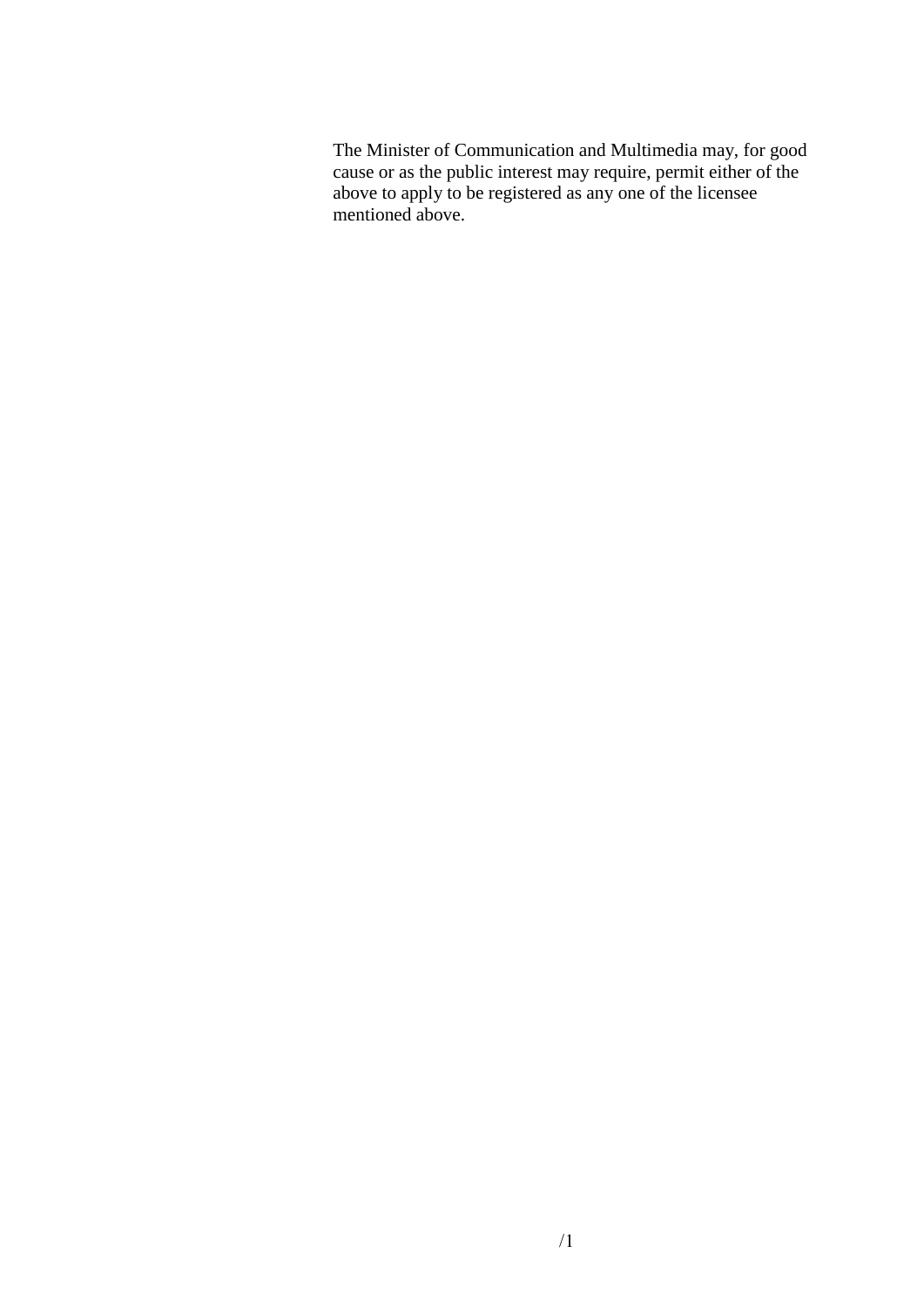The Minister of Communication and Multimedia may, for good cause or as the public interest may require, permit either of the above to apply to be registered as any one of the licensee mentioned above.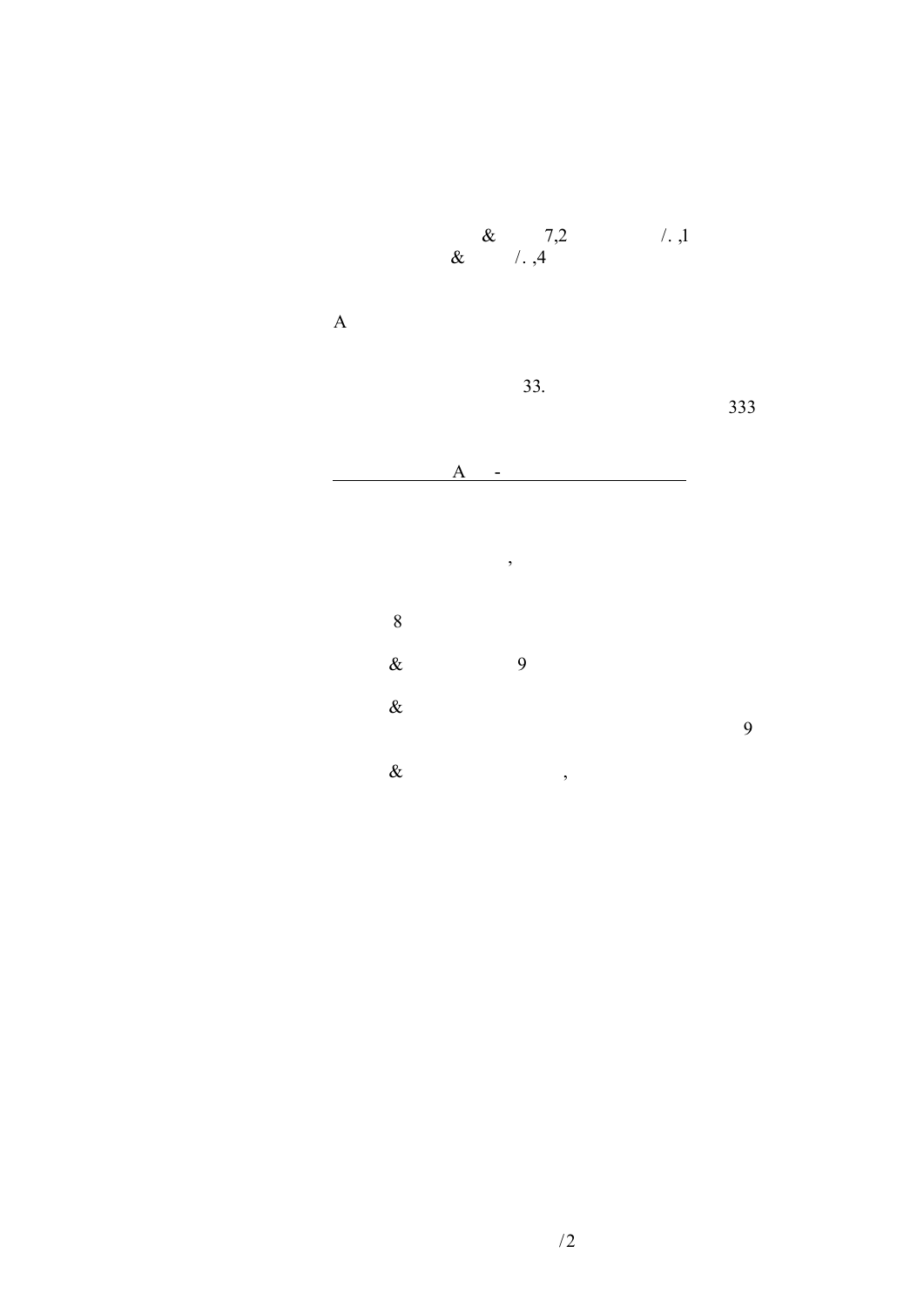$\&\qquad 7.2$  /.,1  $\&\quad$  / . ,4

**Level of Government:** Central

*Education Act 1996* 33. *Private Higher Education Institutions Act 1996* 333

|                  | $\mathbf{A}$<br>$\overline{\phantom{a}}$ |   |
|------------------|------------------------------------------|---|
|                  |                                          |   |
|                  |                                          |   |
|                  | $\,$                                     |   |
|                  |                                          |   |
| $\boldsymbol{8}$ |                                          |   |
| $\&$             | 9                                        |   |
| $\&$             |                                          |   |
|                  |                                          | 9 |
| $\&$             | $\,$                                     |   |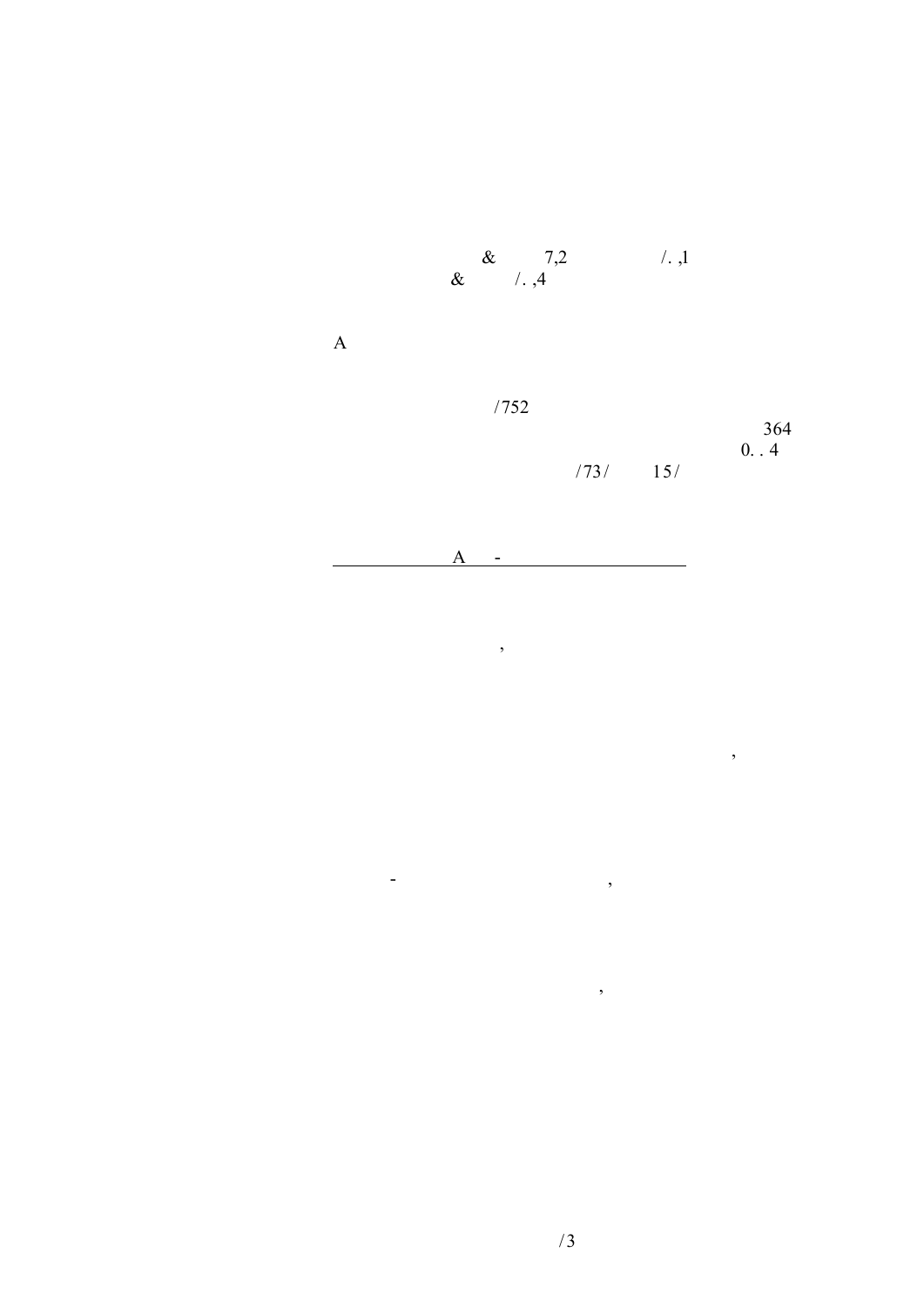$\&$   $\frac{7}{2}$   $\frac{1}{1}$  $\&\quad$  / . ,4

**Level of Government:** Central

**Measure** Medical Regulations 1974 *Private Healthcare Facilities and Services Act 1998* 364  $\overline{0.4}$  $173/151$ 

**Description:** Investment and Cross-Border Trade in Services and Cross-Border Trade in Services

practitioners, and general nurses including midwifery.

*Specialised Dental Services*

 $\overline{\phantom{a}}$ 

assemble or sell medicinal products.

and with authorisation.

*Pharmacists*

*Allied health services*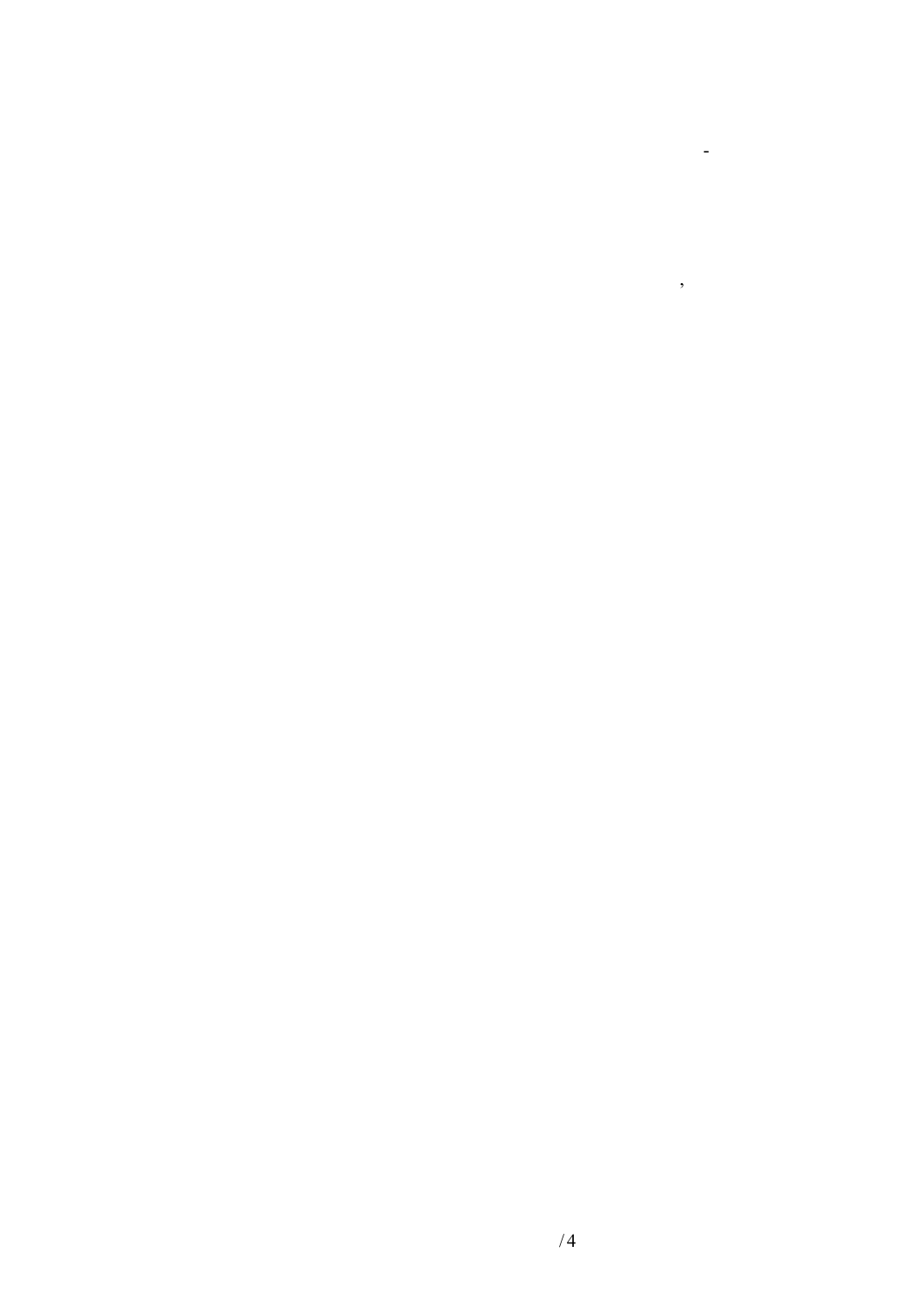$\sqrt{4}$ 

scientist, nutritionist, speech language pathologist/speech

medical officer and assistant food technologist.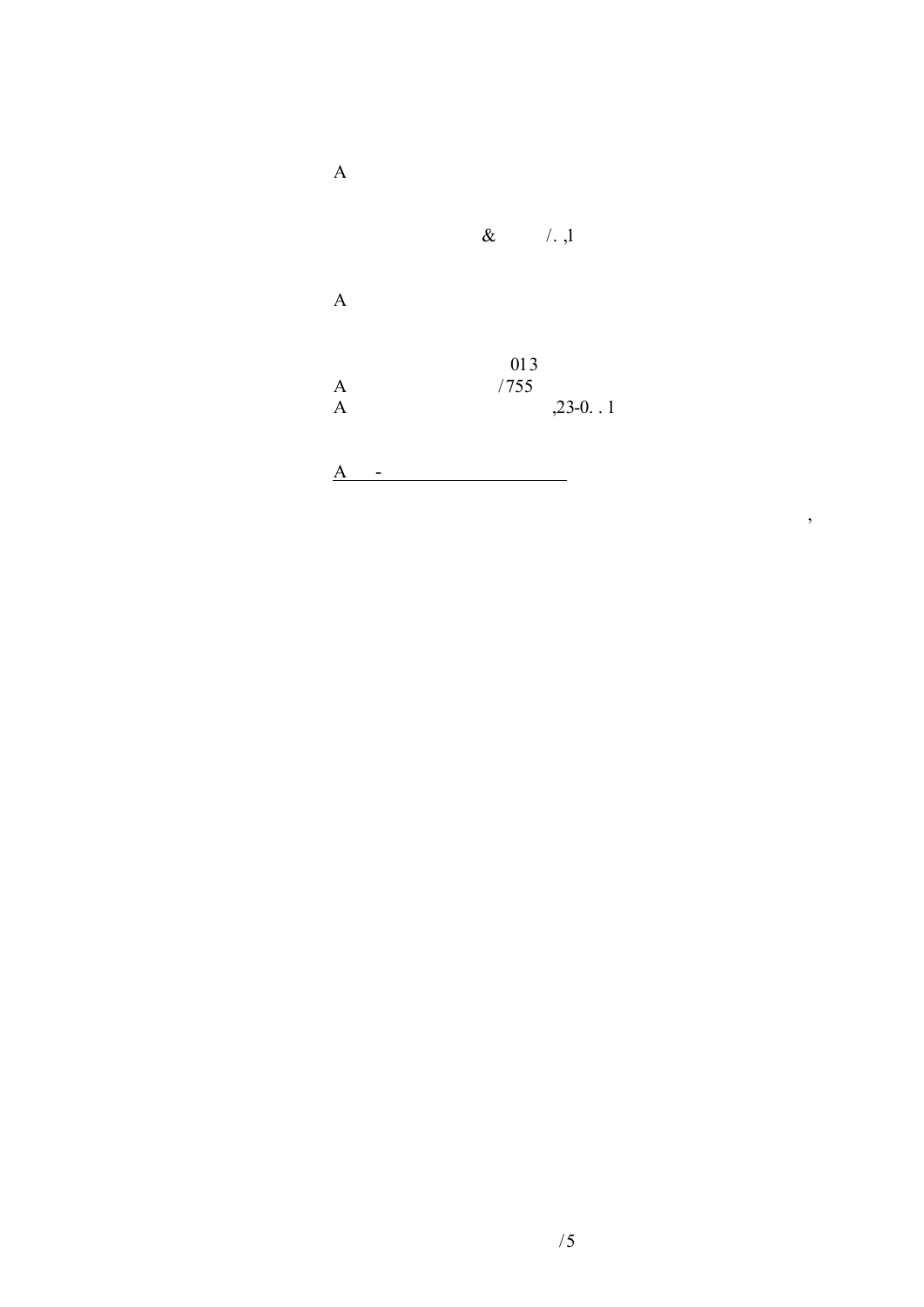|                                                  | $\&$        | $/$ .,1   |
|--------------------------------------------------|-------------|-----------|
| $\mathbf{A}$                                     |             |           |
| Customs Act 1967<br>$\mathbf{A}$<br>$\mathbf{A}$ | 013<br>/755 | $,23-0.1$ |
| A                                                |             |           |

 $\mathcal{F}_{\mathcal{A}}$ 

**Sector:** Customs Agents and Brokers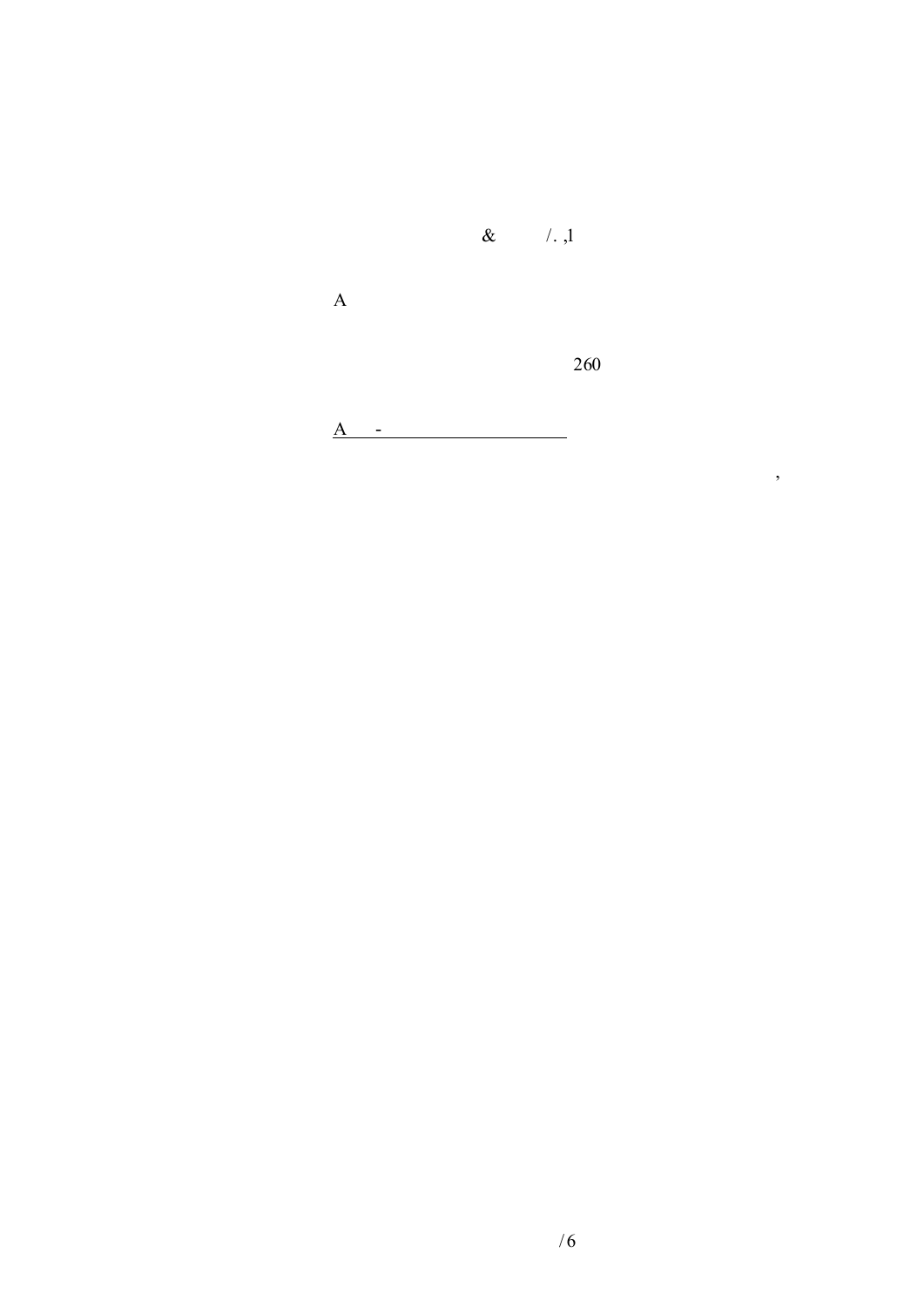**&** /.3

 $\mathcal{F}_{\mathcal{A}}$ 

**Level of Government:** Central

*Tourism Industry Act 1992* 260

**A** - Cross-Border Trade in Services in Services in Services in Services in Services in Services in Services in Services in Services in Services in Services in Services in Services in Services in Services in Services in Se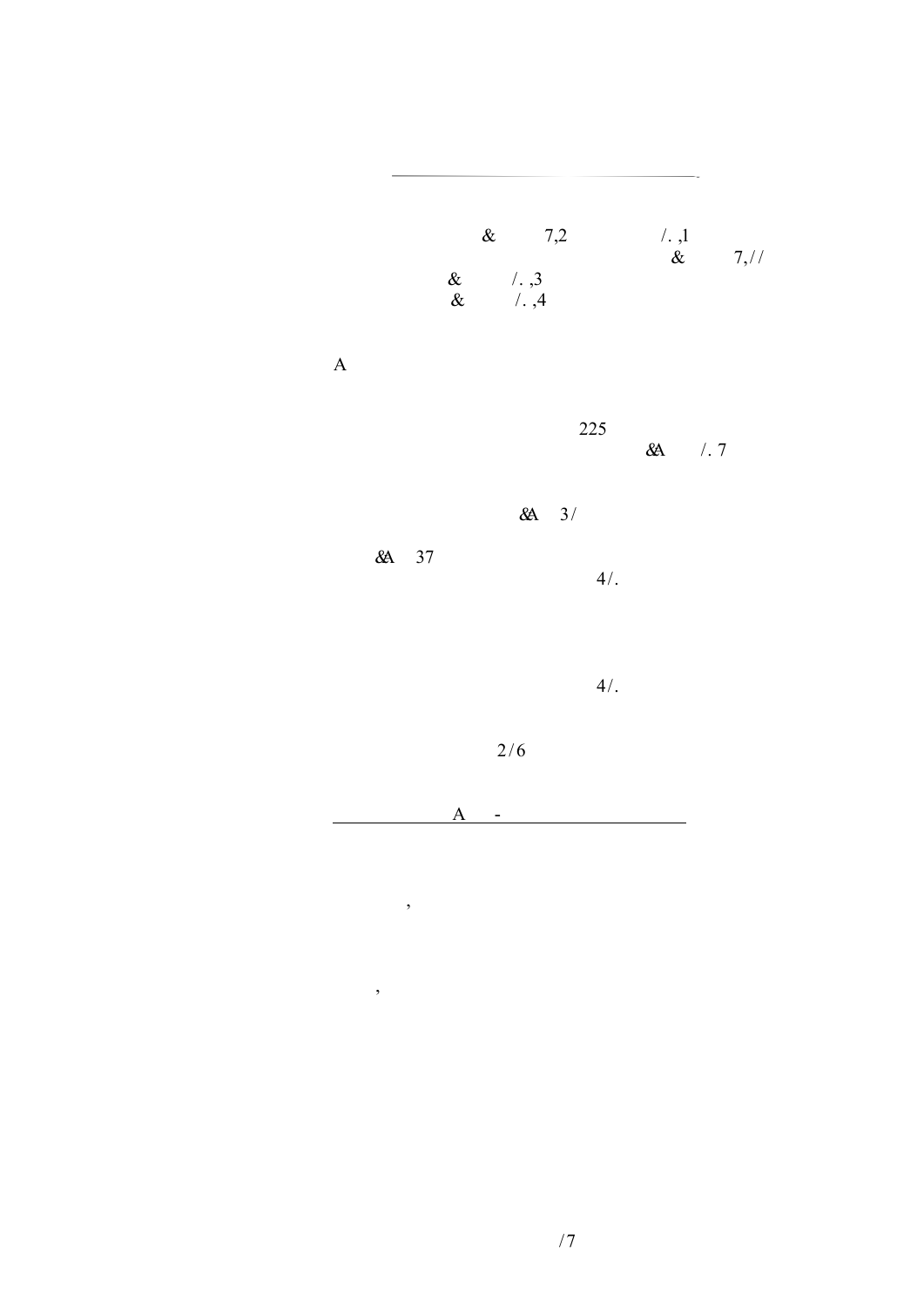|                        | & 7,2 $\frac{1}{x}$ , 1<br>& 7, // |  |  |
|------------------------|------------------------------------|--|--|
| & $1,3$                |                                    |  |  |
| $\& \quad \frac{1}{4}$ |                                    |  |  |

**Level of Government:** Central and Regional

**Sector:** Utilities

*Electricity Supply Act 1990* 225 *Electricity (Amendment) Ordinance 2003 & \Rightarrow 1.7 Electricity Rules 1999 Electricity (State Grid Code) Rules 2003* **SESCO Ordinance 1962 & 3/** *Sarawak Electricity Supply (successor Company) Ordinance*  2004 & 37 *Energy Commission Act 2001* 4/. *Electricity Regulations 1994 Licensee Supply Regulations 1990 Gas Supply Act 1993 Gas Supply Regulation 1997 Energy Commission Act 2001* 4/. *Sarawak Gas Supply Services (Operating Company) Ordinance 1995 Waters Act 1920* 2/6

**Description:** Investment and Cross-Border Trade in Services

electricity.

 $\overline{\phantom{a}}$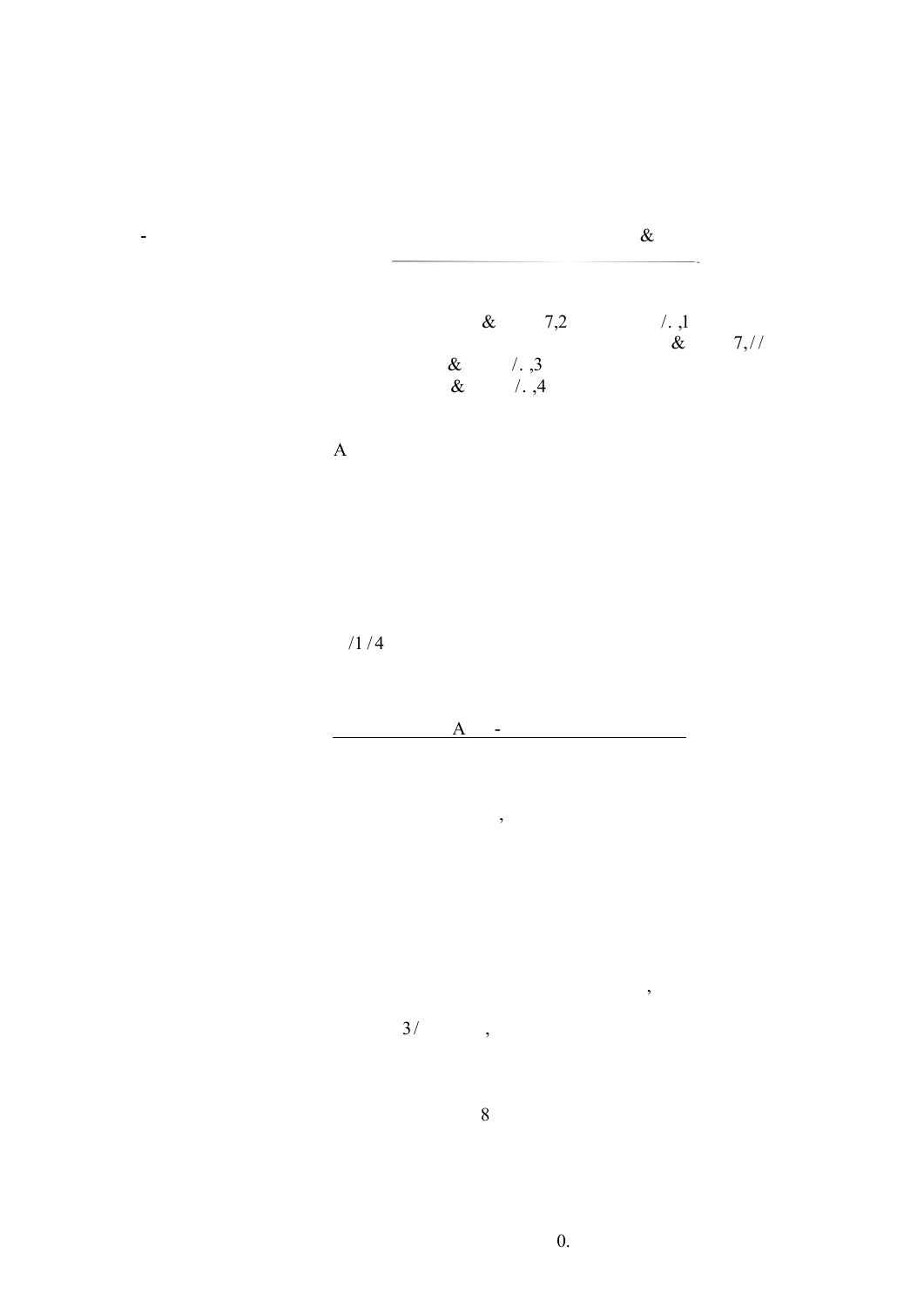

**Level of Government:** Central and Regional

**Measure** *Merchant Shipping Ordinance 1952 Ordinance 70/1952 Merchant Shipping Ordinance 1960 (Sabah) Ordinance 11/1960 Merchant Shipping Ordinance 1960 (Sarawak) Ordinance 2/1960 Merchant Shipping (Amendment and Extension) Act 2007*  $/1/4$ 

$$
\begin{array}{c}\n \overbrace{\qquad \qquad }^{A} & \overbrace{\qquad \qquad }^{B} & \overbrace{\qquad \qquad }^{B} & \overbrace{\qquad \qquad }^{C} & \overbrace{\qquad \qquad }^{C} & \overbrace{\qquad \qquad }^{C} & \overbrace{\qquad \qquad }^{C} & \overbrace{\qquad \qquad }^{C} & \overbrace{\qquad \qquad }^{C} & \overbrace{\qquad \qquad }^{C} & \overbrace{\qquad \qquad }^{C} & \overbrace{\qquad \qquad }^{C} & \overbrace{\qquad \qquad }^{C} & \overbrace{\quad \qquad }^{C} & \overbrace{\quad \qquad }^{C} & \overbrace{\quad \qquad }^{C} & \overbrace{\quad \qquad }^{C} & \overbrace{\quad \qquad }^{C} & \overbrace{\quad \qquad }^{C} & \overbrace{\quad \qquad }^{C} & \overbrace{\quad \qquad }^{C} & \overbrace{\quad \qquad }^{C} & \overbrace{\quad \qquad }^{C} & \overbrace{\quad \qquad }^{C} & \overbrace{\quad \qquad }^{C} & \overbrace{\quad \qquad }^{C} & \overbrace{\quad \qquad }^{C} & \overbrace{\quad \qquad }^{C} & \overbrace{\quad \qquad }^{C} & \overbrace{\quad \qquad }^{C} & \overbrace{\quad \qquad }^{C} & \overbrace{\quad \qquad }^{C} & \overbrace{\quad \qquad }^{C} & \overbrace{\quad \qquad }^{C} & \overbrace{\quad \qquad }^{C} & \overbrace{\quad \qquad }^{C} & \overbrace{\quad \qquad }^{C} & \overbrace{\quad \qquad }^{C} & \overbrace{\quad \qquad }^{C} & \overbrace{\quad \qquad }^{C} & \overbrace{\quad \qquad }^{C} & \overbrace{\quad \qquad }^{C} & \overbrace{\quad \qquad }^{C} & \overbrace{\quad \qquad }^{C} & \overbrace{\quad \qquad }^{C} & \overbrace{\quad \qquad }^{C} & \overbrace{\quad \qquad }^{C} & \overbrace{\quad \qquad }^{C} & \overbrace{\quad \qquad }^{C} & \overbrace{\quad \qquad }^{C} & \overbrace{\quad \qquad }^{C} & \overbrace{\quad \qquad }^{C} & \overbrace{\quad \qquad }^{C} & \overbrace{\quad \qquad }^{C} & \overbrace{\quad \qquad }^{C} & \overbrace{\quad \qquad }^{C} & \overbrace{\quad \qquad }^{C
$$

*Malaysia International Ship Registry*

 $3/$ ,

and government cargo.

 $\{$ 

 $\mathcal{S}$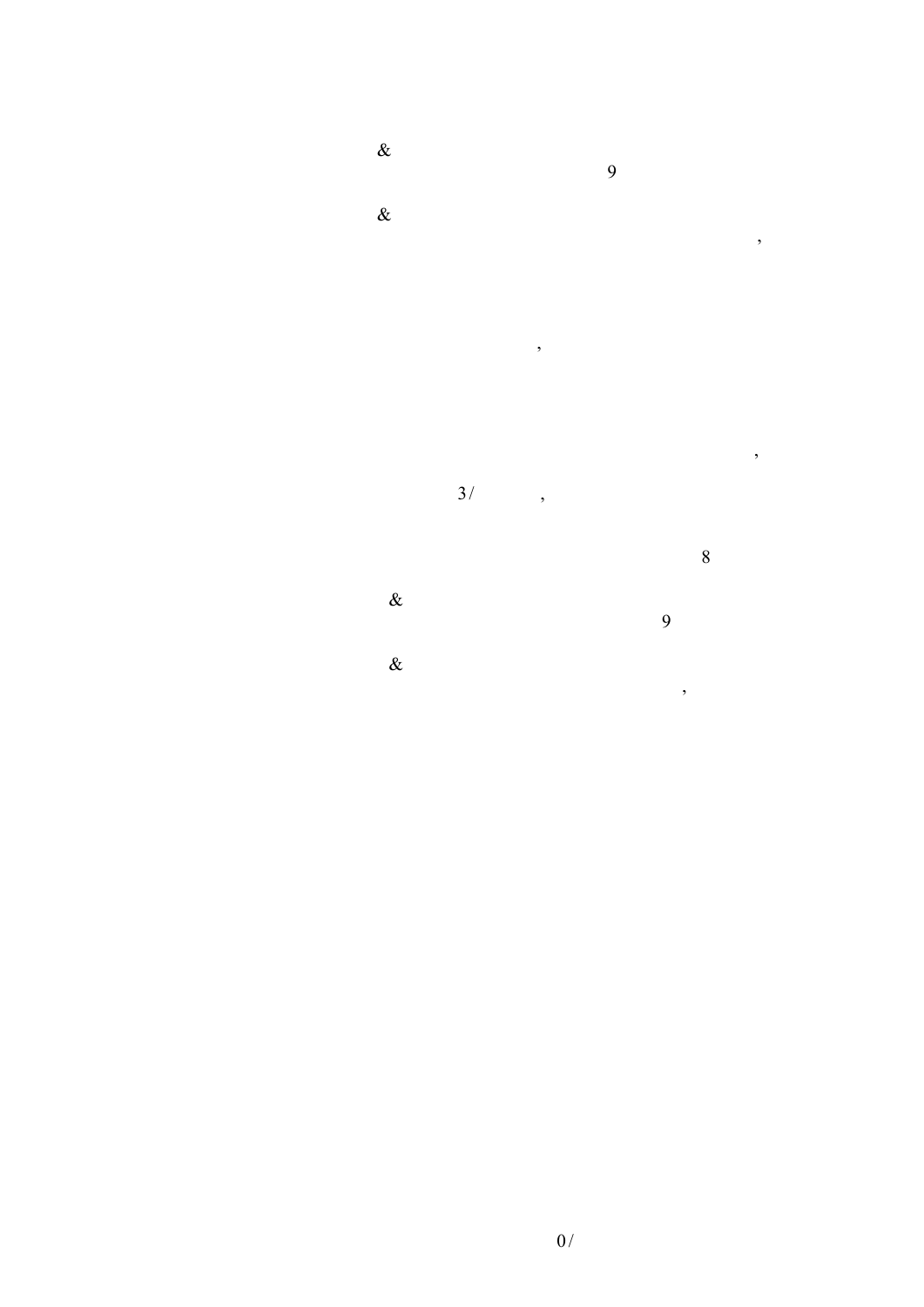$\&$ residence in Malaysia; or  $\&$ 

*Traditional Registry*

domestic maritime services.

individuals or Malaysian controlled corporations or both.  $3/$  ,  $\mathcal{S}$  $\&$ directors shall be Malaysians; and

business operations in Malaysia.

its principal place of business in Malaysia.

 $\&$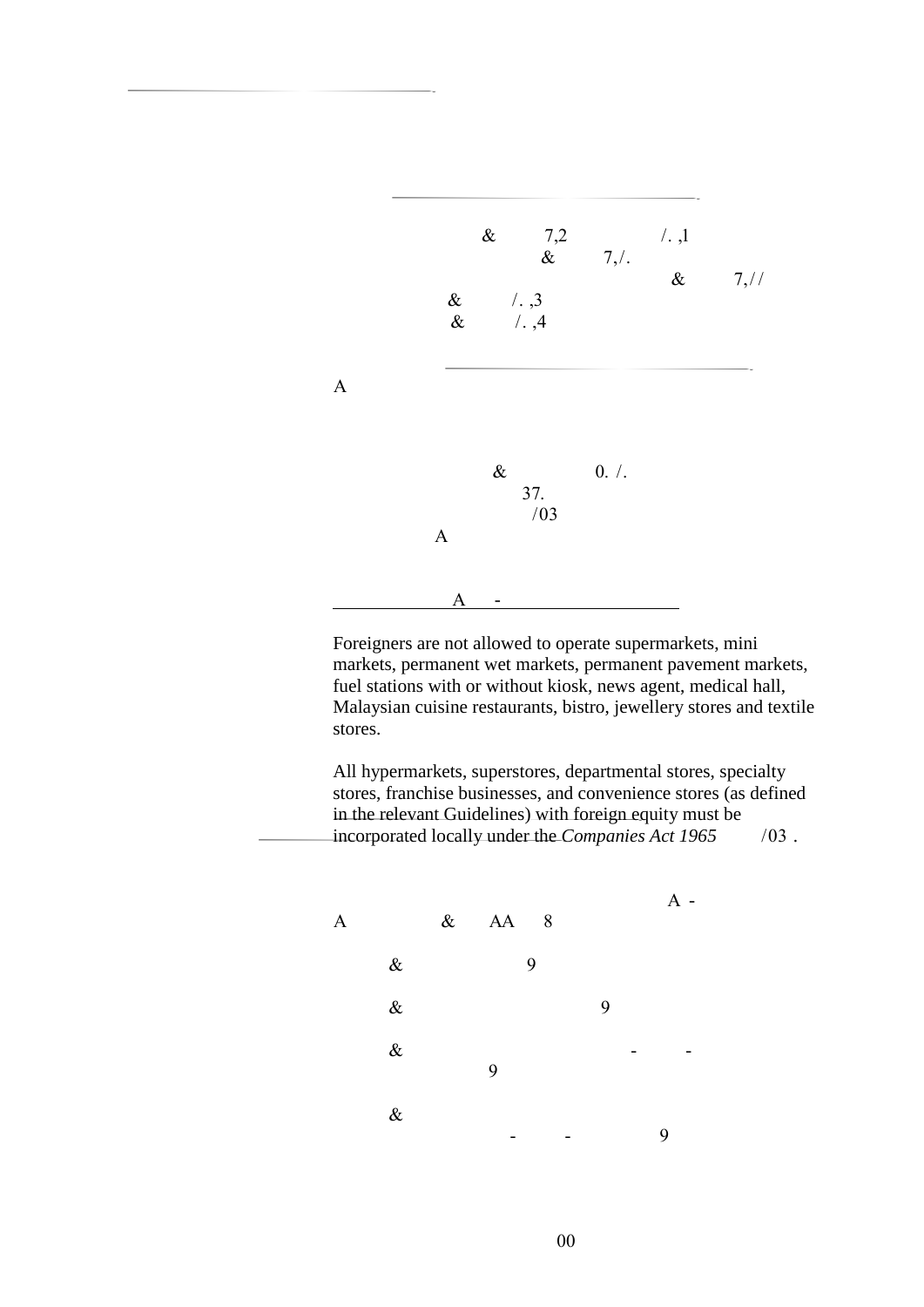

Foreigners are not allowed to operate supermarkets, mini markets, permanent wet markets, permanent pavement markets, fuel stations with or without kiosk, news agent, medical hall, Malaysian cuisine restaurants, bistro, jewellery stores and textile stores.

All hypermarkets, superstores, departmental stores, specialty stores, franchise businesses, and convenience stores (as defined in the relevant Guidelines) with foreign equity must be incorporated locally under the *Companies Act 1965* / 03.

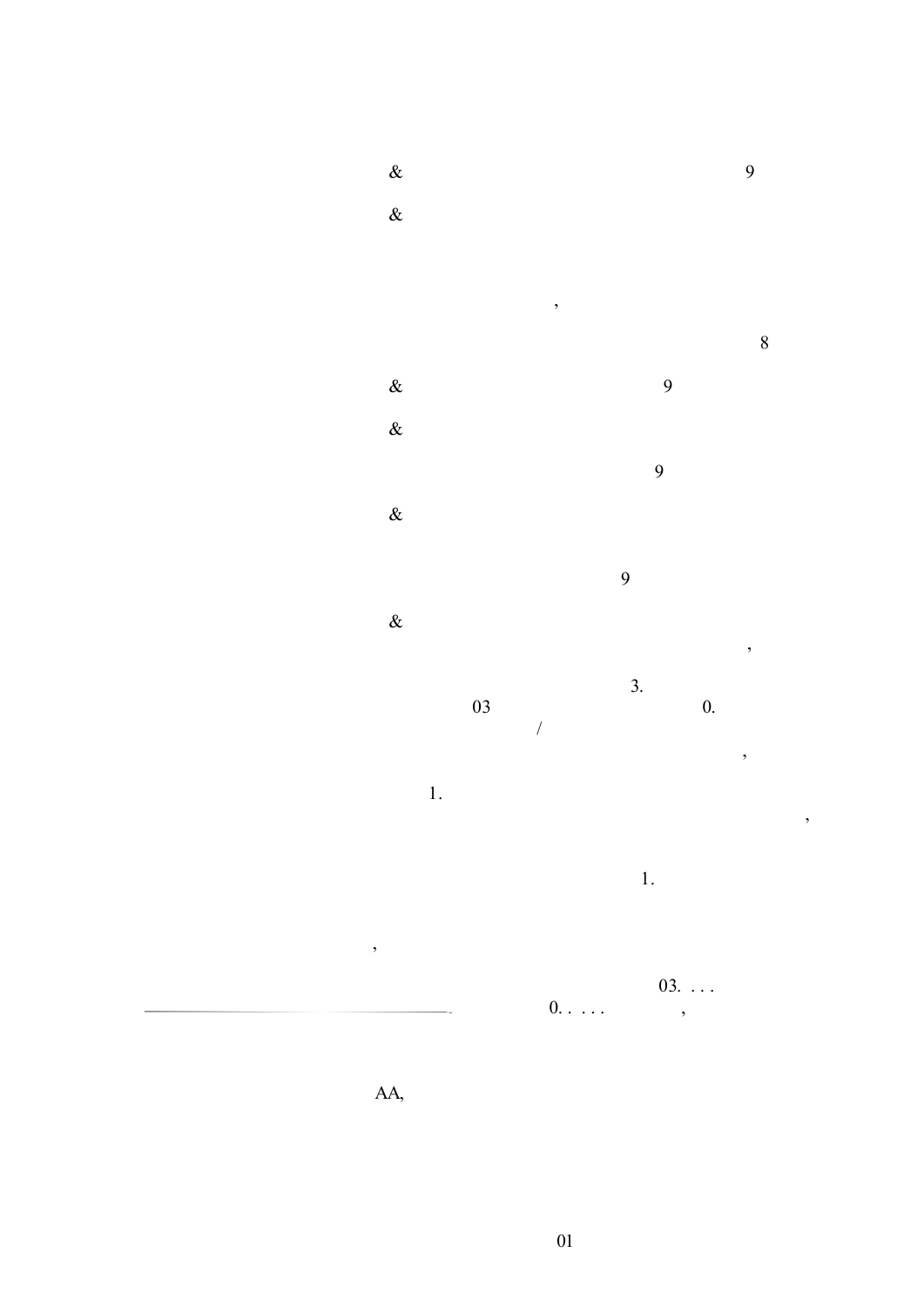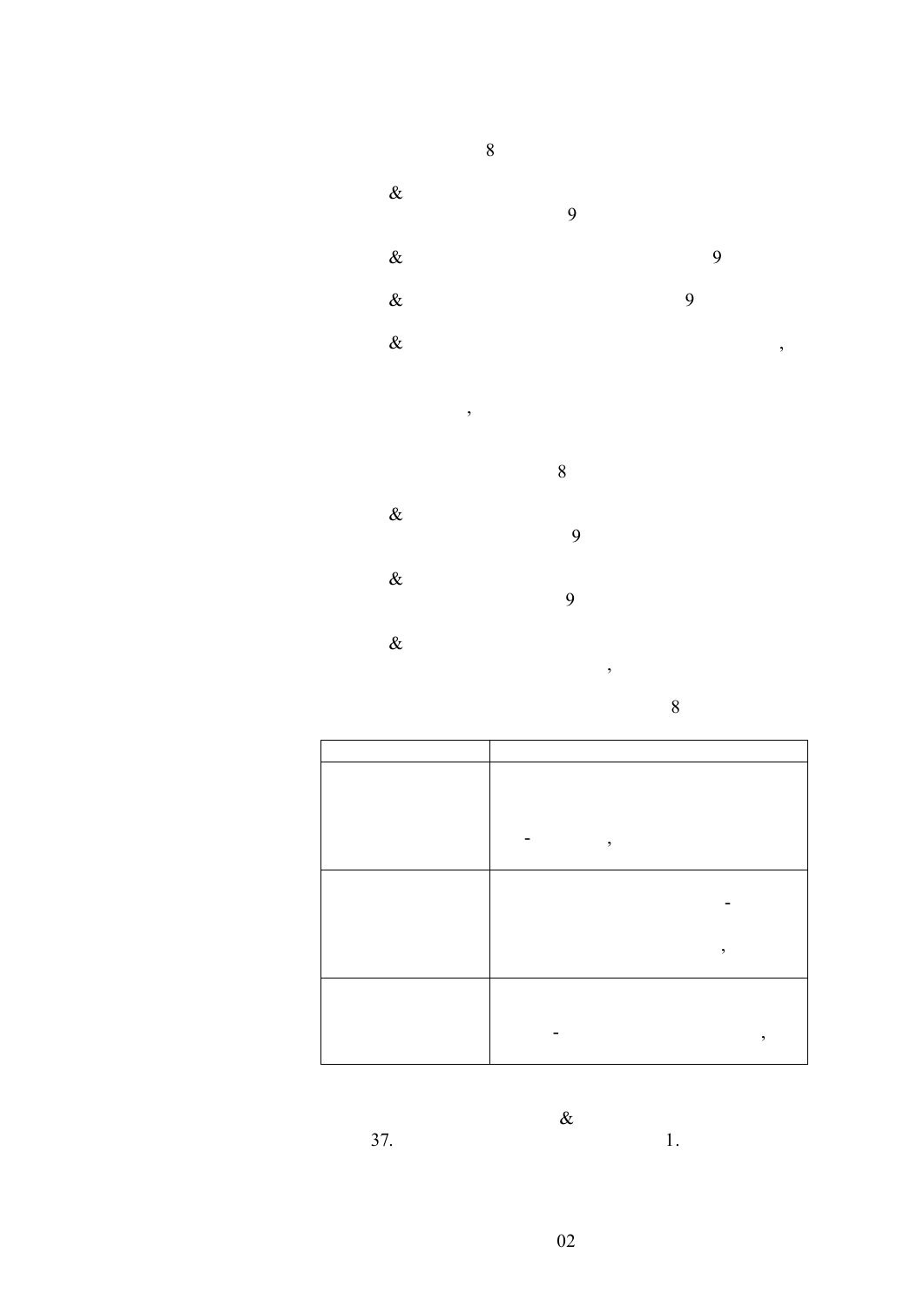

 $\{$ 

| $\,$           |
|----------------|
|                |
| ,              |
|                |
| $\overline{ }$ |
|                |

associated with the franchisor (according to *Franchise Act 1998*  $37.$  and  $1.$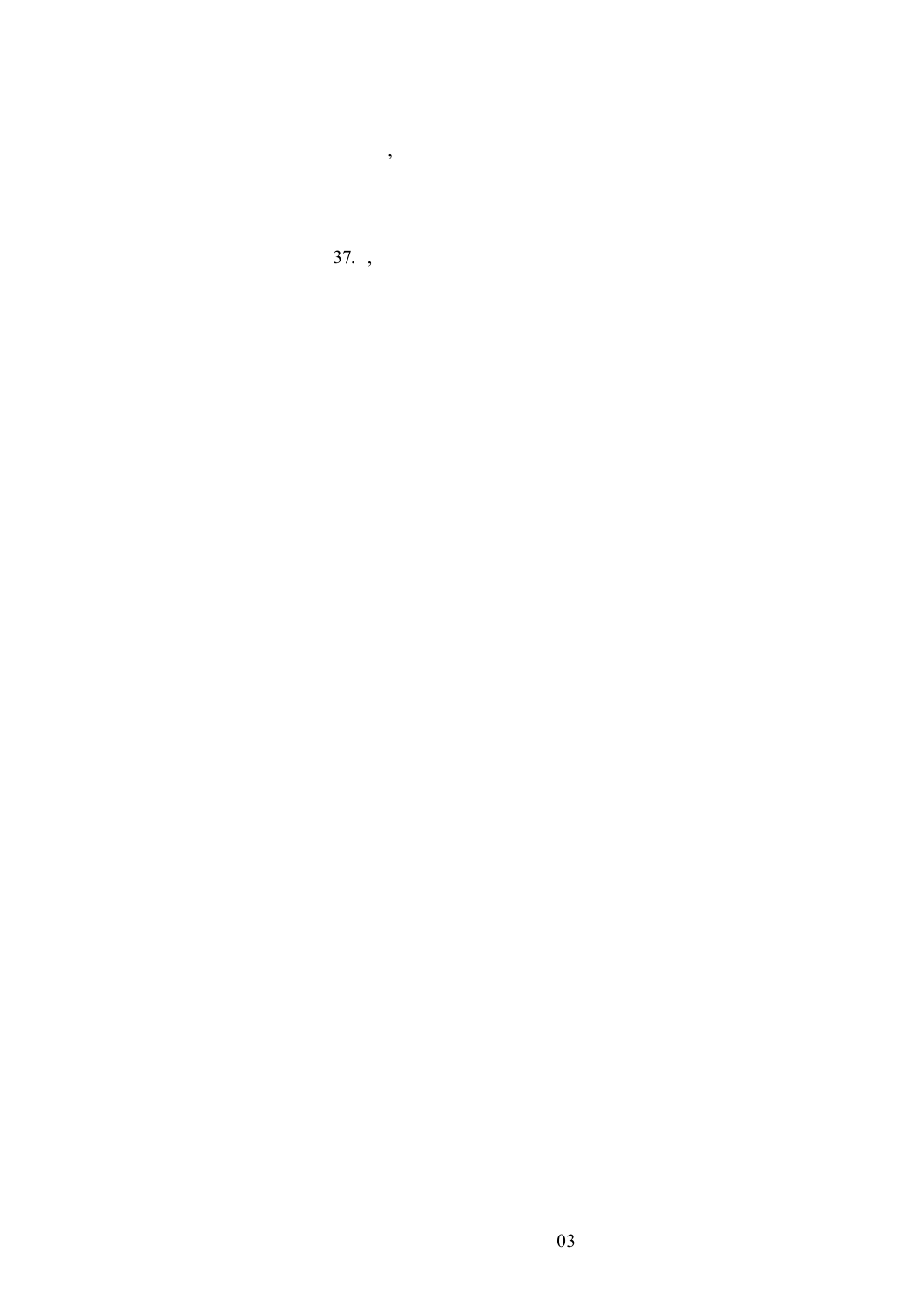franchise Act 1998

 $37.$ 

 $\cdot$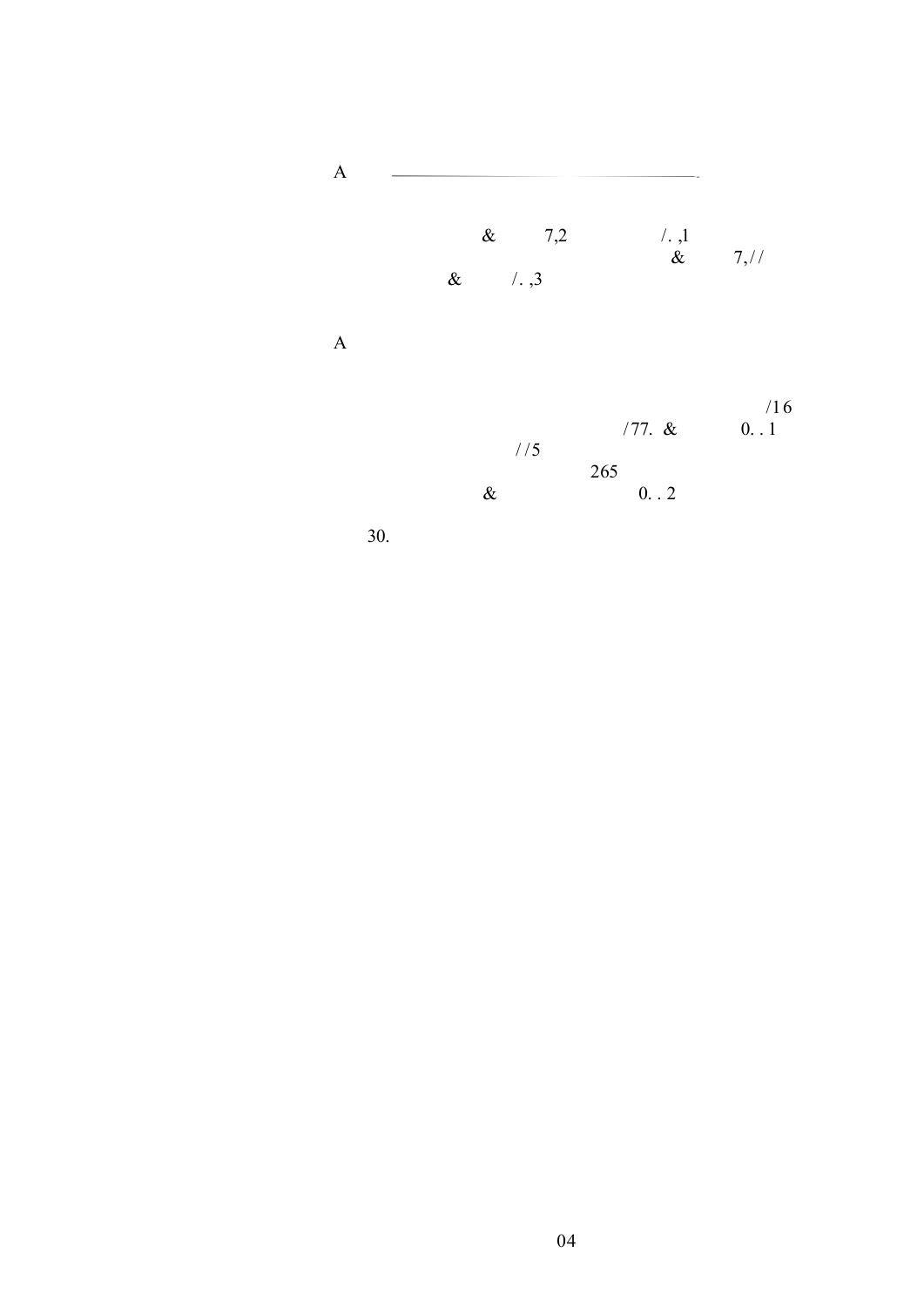



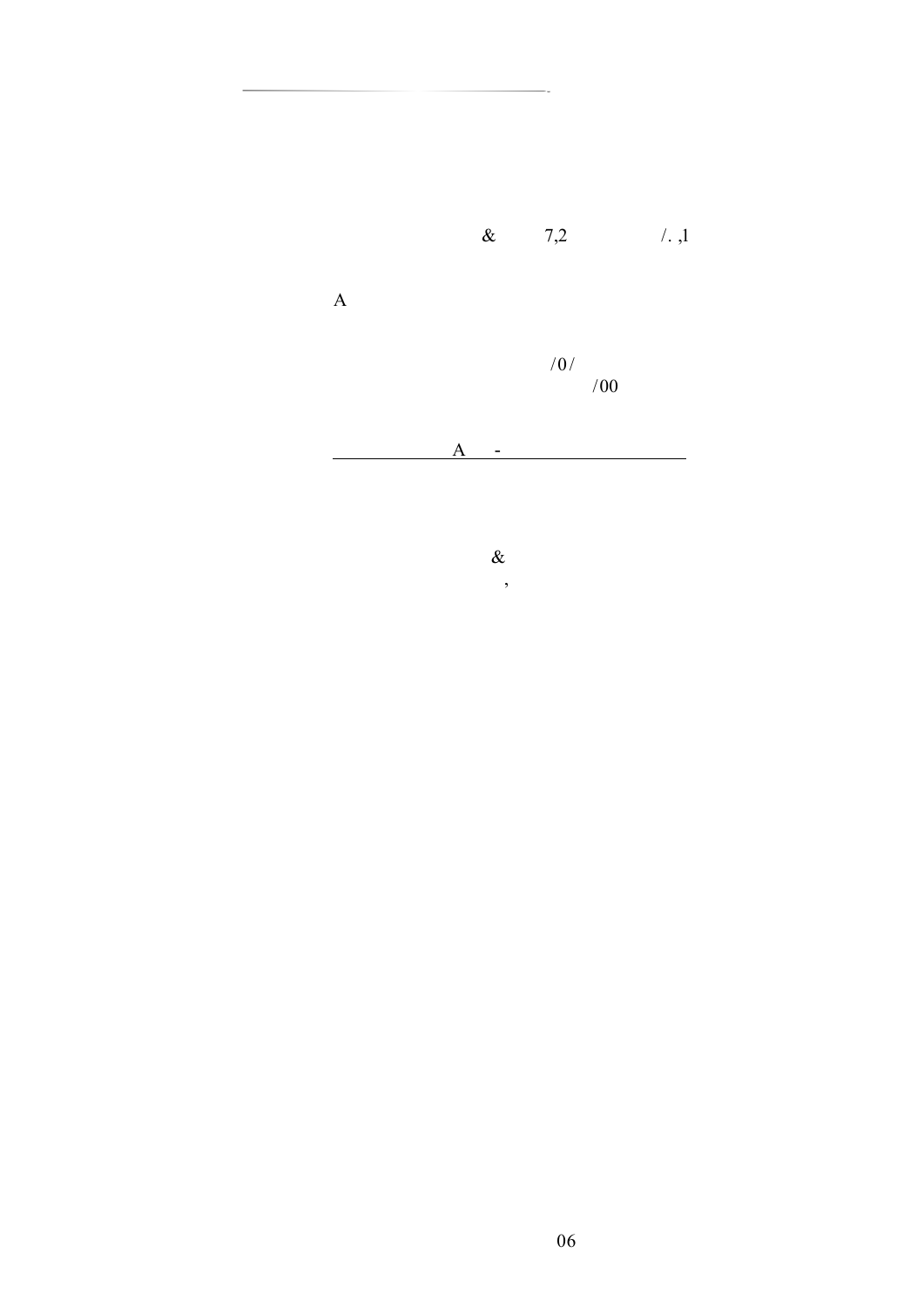## **&** 7,2 /.,1

**Level of Government:** Central

**[Price Control Act 1946](http://www.agc.gov.my/Akta/Vol.%203/Act%20121.pdf)** / 0 *[Control of Supplies Act 1961](http://www.agc.gov.my/Akta/Vol.%203/Act%20122.pdf)* / 00

 $\&$ 

parts of these vehicles).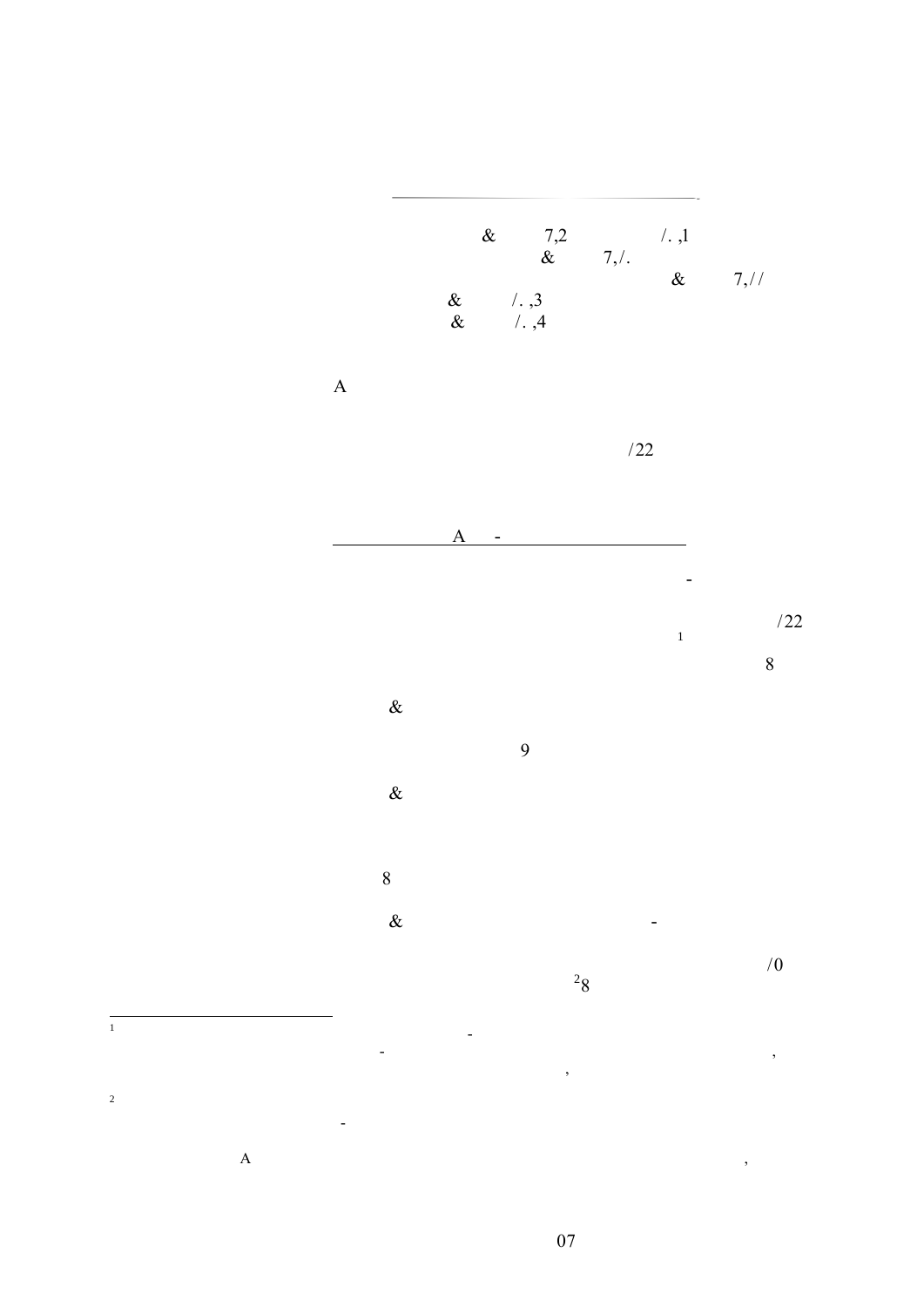

2

 $\frac{1}{1}$ 

 $\mathbf A$  and  $\mathbf A$  registered  $\mathbf A$  requirements with respect to the other goods or services.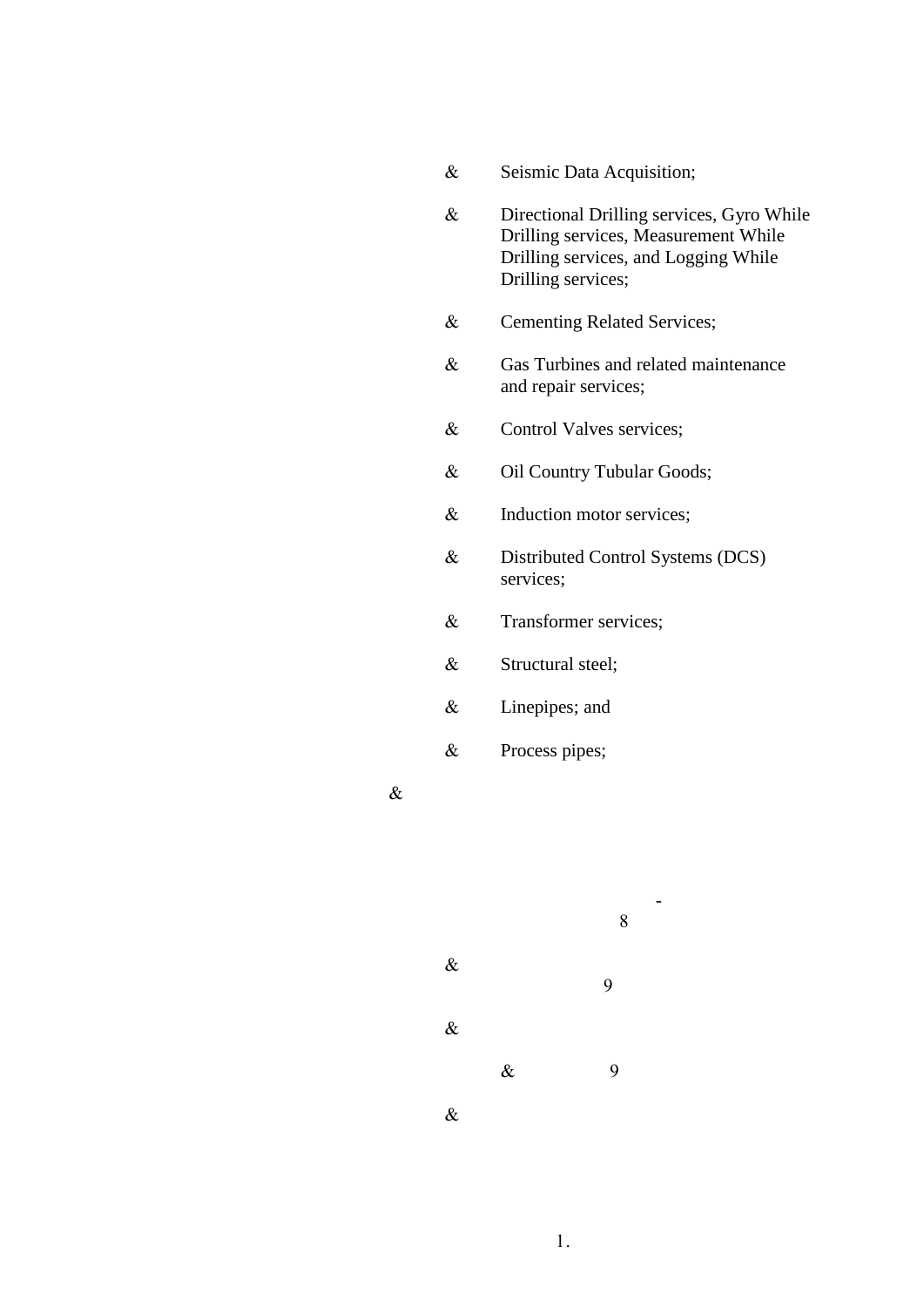- & Seismic Data Acquisition;
- $&$  Directional Drilling services, Gyro While Drilling services, Measurement While Drilling services, and Logging While Drilling services;
- & Cementing Related Services;
- $\&$  Gas Turbines and related maintenance and repair services;
- $\&$  Control Valves services;
- & Oil Country Tubular Goods;
- $\&$  Induction motor services;
- $\&$  Distributed Control Systems (DCS) services;
- $\&$  Transformer services:
- $\&$  Structural steel;
- $&$  Linepipes; and
- $&$  Process pipes;
- $\&$

petroleum that are more non-conforming than the following requirements:  $\&$ establishment;  $\&$  $\&$  9  $\&$